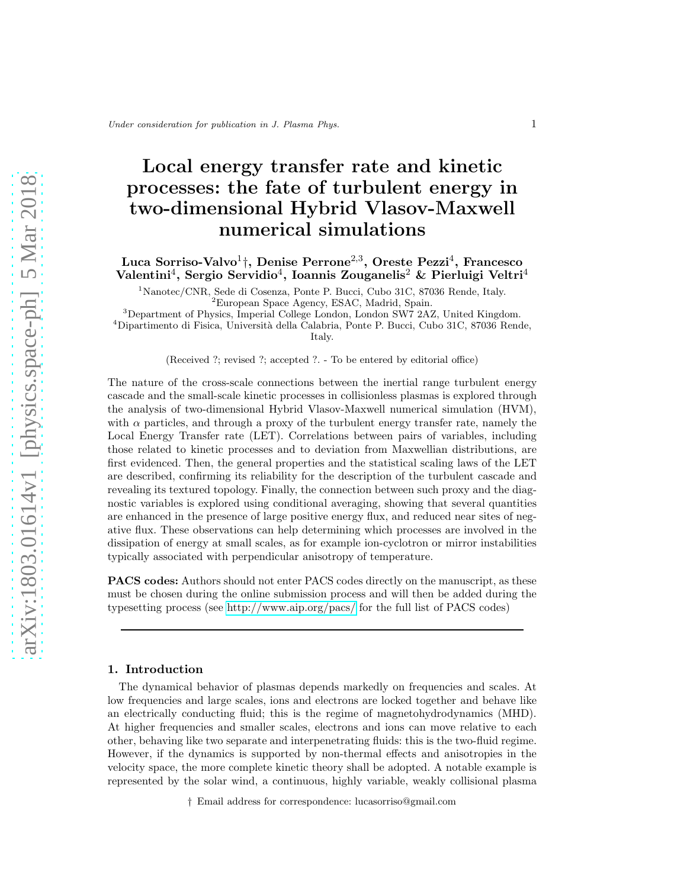# Local energy transfer rate and kinetic processes: the fate of turbulent energy in two-dimensional Hybrid Vlasov-Maxwell numerical simulations

Luca Sorriso-Valvo<sup>1</sup><sup>†</sup>, Denise Perrone<sup>2,3</sup>, Oreste Pezzi<sup>4</sup>, Francesco Valentini<sup>4</sup>, Sergio Servidio<sup>4</sup>, Ioannis Zouganelis<sup>2</sup> & Pierluigi Veltri<sup>4</sup>

<sup>1</sup>Nanotec/CNR, Sede di Cosenza, Ponte P. Bucci, Cubo 31C, 87036 Rende, Italy.

<sup>3</sup>Department of Physics, Imperial College London, London SW7 2AZ, United Kingdom.

<sup>4</sup>Dipartimento di Fisica, Università della Calabria, Ponte P. Bucci, Cubo 31C, 87036 Rende, Italy.

(Received ?; revised ?; accepted ?. - To be entered by editorial office)

The nature of the cross-scale connections between the inertial range turbulent energy cascade and the small-scale kinetic processes in collisionless plasmas is explored through the analysis of two-dimensional Hybrid Vlasov-Maxwell numerical simulation (HVM), with  $\alpha$  particles, and through a proxy of the turbulent energy transfer rate, namely the Local Energy Transfer rate (LET). Correlations between pairs of variables, including those related to kinetic processes and to deviation from Maxwellian distributions, are first evidenced. Then, the general properties and the statistical scaling laws of the LET are described, confirming its reliability for the description of the turbulent cascade and revealing its textured topology. Finally, the connection between such proxy and the diagnostic variables is explored using conditional averaging, showing that several quantities are enhanced in the presence of large positive energy flux, and reduced near sites of negative flux. These observations can help determining which processes are involved in the dissipation of energy at small scales, as for example ion-cyclotron or mirror instabilities typically associated with perpendicular anisotropy of temperature.

PACS codes: Authors should not enter PACS codes directly on the manuscript, as these must be chosen during the online submission process and will then be added during the typesetting process (see<http://www.aip.org/pacs/> for the full list of PACS codes)

## 1. Introduction

The dynamical behavior of plasmas depends markedly on frequencies and scales. At low frequencies and large scales, ions and electrons are locked together and behave like an electrically conducting fluid; this is the regime of magnetohydrodynamics (MHD). At higher frequencies and smaller scales, electrons and ions can move relative to each other, behaving like two separate and interpenetrating fluids: this is the two-fluid regime. However, if the dynamics is supported by non-thermal effects and anisotropies in the velocity space, the more complete kinetic theory shall be adopted. A notable example is represented by the solar wind, a continuous, highly variable, weakly collisional plasma

† Email address for correspondence: lucasorriso@gmail.com

<sup>2</sup>European Space Agency, ESAC, Madrid, Spain.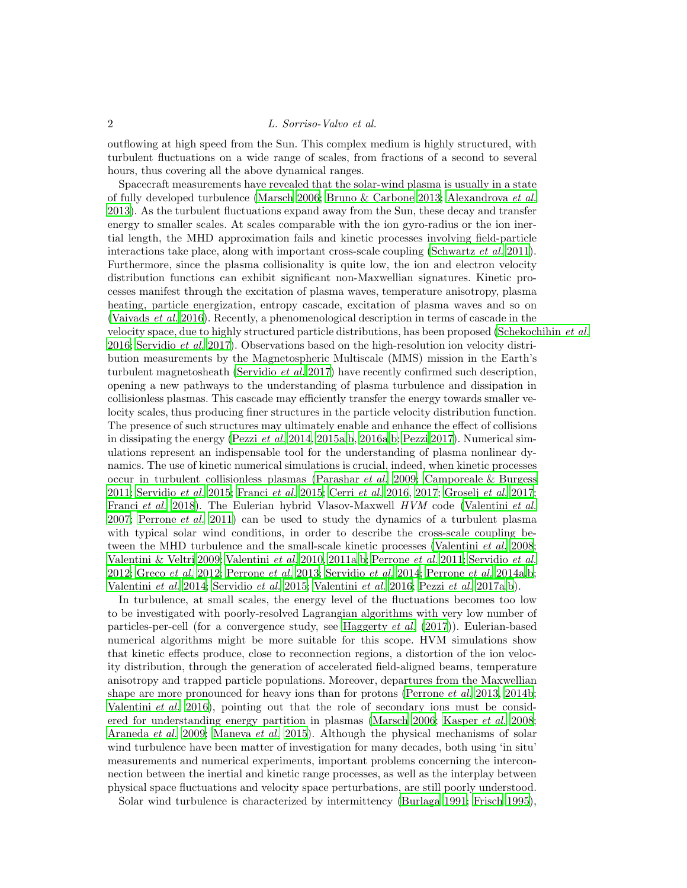outflowing at high speed from the Sun. This complex medium is highly structured, with turbulent fluctuations on a wide range of scales, from fractions of a second to several hours, thus covering all the above dynamical ranges.

Spacecraft measurements have revealed that the solar-wind plasma is usually in a state of fully developed turbulence [\(Marsch 2006;](#page-18-0) [Bruno & Carbone 2013;](#page-16-0) [Alexandrova](#page-16-1) et al. [2013\)](#page-16-1). As the turbulent fluctuations expand away from the Sun, these decay and transfer energy to smaller scales. At scales comparable with the ion gyro-radius or the ion inertial length, the MHD approximation fails and kinetic processes involving field-particle interactions take place, along with important cross-scale coupling [\(Schwartz](#page-19-0) *et al.* [2011\)](#page-19-0). Furthermore, since the plasma collisionality is quite low, the ion and electron velocity distribution functions can exhibit significant non-Maxwellian signatures. Kinetic processes manifest through the excitation of plasma waves, temperature anisotropy, plasma heating, particle energization, entropy cascade, excitation of plasma waves and so on [\(Vaivads](#page-20-0) et al. [2016\)](#page-20-0). Recently, a phenomenological description in terms of cascade in the velocity space, due to highly structured particle distributions, has been proposed [\(Schekochihin](#page-19-1) et al. [2016;](#page-19-1) [Servidio](#page-19-2) et al. [2017](#page-19-2)). Observations based on the high-resolution ion velocity distribution measurements by the Magnetospheric Multiscale (MMS) mission in the Earth's turbulent magnetosheath [\(Servidio](#page-19-2) *et al.* [2017\)](#page-19-2) have recently confirmed such description, opening a new pathways to the understanding of plasma turbulence and dissipation in collisionless plasmas. This cascade may efficiently transfer the energy towards smaller velocity scales, thus producing finer structures in the particle velocity distribution function. The presence of such structures may ultimately enable and enhance the effect of collisions in dissipating the energy [\(Pezzi](#page-18-1) et al. [2014](#page-18-1), [2015a](#page-19-3)[,b](#page-19-4), [2016a](#page-19-5)[,b;](#page-19-6) [Pezzi 2017](#page-19-7)). Numerical simulations represent an indispensable tool for the understanding of plasma nonlinear dynamics. The use of kinetic numerical simulations is crucial, indeed, when kinetic processes occur in turbulent collisionless plasmas [\(Parashar](#page-18-2) et al. [2009;](#page-18-2) [Camporeale & Burgess](#page-16-2) [2011;](#page-16-2) [Servidio](#page-19-8) et al. [2015;](#page-19-8) [Franci](#page-17-0) et al. [2015;](#page-17-0) [Cerri](#page-16-3) et al. [2016,](#page-16-3) [2017](#page-16-4); [Groselj](#page-17-1) et al. [2017;](#page-17-1) [Franci](#page-17-2) et al. [2018\)](#page-17-2). The Eulerian hybrid Vlasov-Maxwell HVM code [\(Valentini](#page-20-1) et al. [2007;](#page-20-1) [Perrone](#page-18-3) *et al.* [2011\)](#page-18-3) can be used to study the dynamics of a turbulent plasma with typical solar wind conditions, in order to describe the cross-scale coupling be-tween the MHD turbulence and the small-scale kinetic processes [\(Valentini](#page-20-2) *et al.* [2008;](#page-20-2) [Valentini & Veltri 2009;](#page-20-3) [Valentini](#page-20-4) et al. [2010,](#page-20-4) [2011a](#page-20-5)[,b](#page-20-6); [Perrone](#page-18-3) et al. [2011;](#page-18-3) [Servidio](#page-19-9) et al. [2012;](#page-19-9) [Greco](#page-17-3) et al. [2012;](#page-17-3) [Perrone](#page-18-4) et al. [2013;](#page-18-4) [Servidio](#page-19-10) et al. [2014](#page-19-10); [Perrone](#page-18-5) et al. [2014a](#page-18-5)[,b;](#page-18-6) [Valentini](#page-20-7) et al. [2014;](#page-20-7) [Servidio](#page-19-8) et al. [2015;](#page-19-8) [Valentini](#page-20-8) et al. [2016;](#page-20-8) [Pezzi](#page-19-11) et al. [2017a](#page-19-11)[,b](#page-19-12)).

In turbulence, at small scales, the energy level of the fluctuations becomes too low to be investigated with poorly-resolved Lagrangian algorithms with very low number of particles-per-cell (for a convergence study, see [Haggerty](#page-17-4) et al. [\(2017](#page-17-4))). Eulerian-based numerical algorithms might be more suitable for this scope. HVM simulations show that kinetic effects produce, close to reconnection regions, a distortion of the ion velocity distribution, through the generation of accelerated field-aligned beams, temperature anisotropy and trapped particle populations. Moreover, departures from the Maxwellian shape are more pronounced for heavy ions than for protons [\(Perrone](#page-18-4) *et al.* [2013](#page-18-4), [2014b;](#page-18-6) [Valentini](#page-20-8) et al. [2016\)](#page-20-8), pointing out that the role of secondary ions must be consid-ered for understanding energy partition in plasmas [\(Marsch 2006;](#page-18-0) [Kasper](#page-17-5) et al. [2008;](#page-17-5) [Araneda](#page-16-5) et al. [2009;](#page-16-5) [Maneva](#page-18-7) et al. [2015](#page-18-7)). Although the physical mechanisms of solar wind turbulence have been matter of investigation for many decades, both using 'in situ' measurements and numerical experiments, important problems concerning the interconnection between the inertial and kinetic range processes, as well as the interplay between physical space fluctuations and velocity space perturbations, are still poorly understood.

Solar wind turbulence is characterized by intermittency [\(Burlaga 1991;](#page-16-6) [Frisch 1995\)](#page-17-6),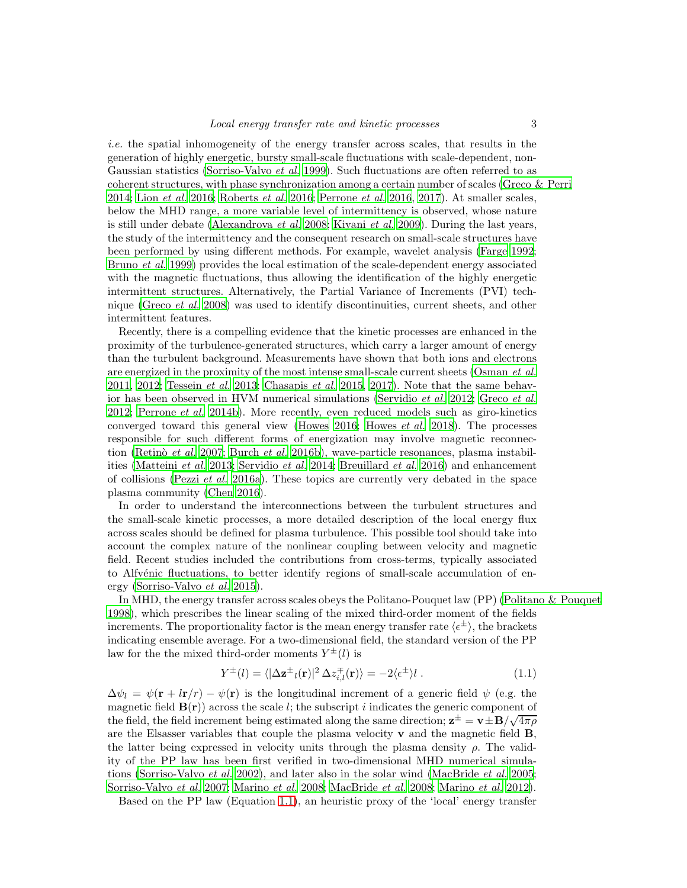i.e. the spatial inhomogeneity of the energy transfer across scales, that results in the generation of highly energetic, bursty small-scale fluctuations with scale-dependent, non-Gaussian statistics [\(Sorriso-Valvo](#page-19-13) *et al.* [1999\)](#page-19-13). Such fluctuations are often referred to as coherent structures, with phase synchronization among a certain number of scales [\(Greco & Perri](#page-17-7) [2014;](#page-17-7) Lion [et al.](#page-17-8) [2016;](#page-17-8) [Roberts](#page-19-14) et al. [2016;](#page-19-14) [Perrone](#page-18-8) et al. [2016,](#page-18-8) [2017\)](#page-18-9). At smaller scales, below the MHD range, a more variable level of intermittency is observed, whose nature is still under debate [\(Alexandrova](#page-15-0) *et al.* [2008;](#page-15-0) [Kiyani](#page-17-9) *et al.* [2009\)](#page-17-9). During the last years, the study of the intermittency and the consequent research on small-scale structures have been performed by using different methods. For example, wavelet analysis [\(Farge 1992;](#page-17-10) [Bruno](#page-16-7) et al. [1999](#page-16-7)) provides the local estimation of the scale-dependent energy associated with the magnetic fluctuations, thus allowing the identification of the highly energetic intermittent structures. Alternatively, the Partial Variance of Increments (PVI) technique [\(Greco](#page-17-11) et al. [2008\)](#page-17-11) was used to identify discontinuities, current sheets, and other intermittent features.

Recently, there is a compelling evidence that the kinetic processes are enhanced in the proximity of the turbulence-generated structures, which carry a larger amount of energy than the turbulent background. Measurements have shown that both ions and electrons are energized in the proximity of the most intense small-scale current sheets [\(Osman](#page-18-10) *et al.*)  $2011, 2012$  $2011, 2012$ ; [Tessein](#page-20-9) *et al.* [2013](#page-20-9); [Chasapis](#page-16-8) *et al.* [2015,](#page-16-8) [2017\)](#page-16-9). Note that the same behavior has been observed in HVM numerical simulations [\(Servidio](#page-19-9) et al. [2012](#page-19-9); [Greco](#page-17-3) et al. [2012;](#page-17-3) [Perrone](#page-18-6) et al. [2014b\)](#page-18-6). More recently, even reduced models such as giro-kinetics converged toward this general view [\(Howes 2016](#page-17-12); [Howes](#page-17-13) et al. [2018\)](#page-17-13). The processes responsible for such different forms of energization may involve magnetic reconnec-tion (Retinò et al. [2007;](#page-19-15) [Burch](#page-16-10) et al. [2016b\)](#page-16-10), wave-particle resonances, plasma instabilities [\(Matteini](#page-18-12) et al. [2013;](#page-18-12) [Servidio](#page-19-10) et al. [2014;](#page-19-10) [Breuillard](#page-16-11) et al. [2016\)](#page-16-11) and enhancement of collisions [\(Pezzi](#page-19-5) *et al.* [2016a](#page-19-5)). These topics are currently very debated in the space plasma community [\(Chen 2016](#page-16-12)).

In order to understand the interconnections between the turbulent structures and the small-scale kinetic processes, a more detailed description of the local energy flux across scales should be defined for plasma turbulence. This possible tool should take into account the complex nature of the nonlinear coupling between velocity and magnetic field. Recent studies included the contributions from cross-terms, typically associated to Alfvénic fluctuations, to better identify regions of small-scale accumulation of energy [\(Sorriso-Valvo](#page-20-10) et al. [2015](#page-20-10)).

In MHD, the energy transfer across scales obeys the Politano-Pouquet law (PP) [\(Politano & Pouquet](#page-19-16) [1998\)](#page-19-16), which prescribes the linear scaling of the mixed third-order moment of the fields increments. The proportionality factor is the mean energy transfer rate  $\langle \epsilon^{\pm} \rangle$ , the brackets indicating ensemble average. For a two-dimensional field, the standard version of the PP law for the the mixed third-order moments  $Y^{\pm}(l)$  is

<span id="page-2-0"></span>
$$
Y^{\pm}(l) = \langle |\Delta \mathbf{z}^{\pm}(l)|^2 \Delta z_{i,l}^{\mp}(\mathbf{r}) \rangle = -2 \langle \epsilon^{\pm} \rangle l . \tag{1.1}
$$

 $\Delta \psi_l = \psi(\mathbf{r} + l\mathbf{r}/r) - \psi(\mathbf{r})$  is the longitudinal increment of a generic field  $\psi$  (e.g. the magnetic field  $B(r)$  across the scale l; the subscript i indicates the generic component of the field, the field increment being estimated along the same direction;  $z^{\pm} = v^{\pm}B/\sqrt{4\pi\rho}$ are the Elsasser variables that couple the plasma velocity  $\bf{v}$  and the magnetic field  $\bf{B}$ , the latter being expressed in velocity units through the plasma density  $\rho$ . The validity of the PP law has been first verified in two-dimensional MHD numerical simulations [\(Sorriso-Valvo](#page-19-17) et al. [2002\)](#page-19-17), and later also in the solar wind [\(MacBride](#page-17-14) et al. [2005;](#page-17-14) [Sorriso-Valvo](#page-20-11) et al. [2007;](#page-20-11) [Marino](#page-18-13) et al. [2008;](#page-18-13) [MacBride](#page-18-14) et al. [2008;](#page-18-14) [Marino](#page-18-15) et al. [2012\)](#page-18-15).

Based on the PP law (Equation [1.1\)](#page-2-0), an heuristic proxy of the 'local' energy transfer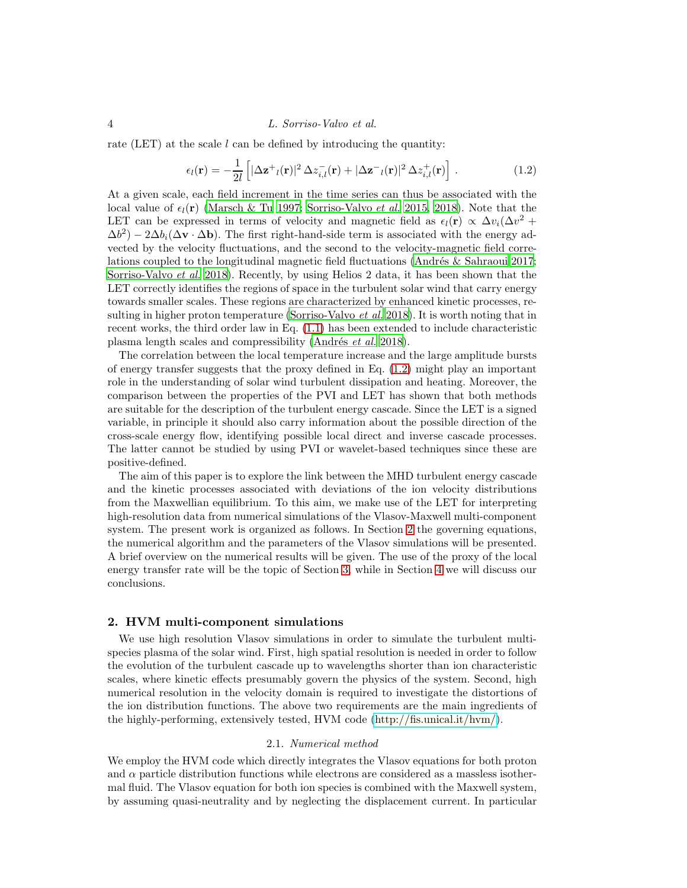rate (LET) at the scale  $l$  can be defined by introducing the quantity:

<span id="page-3-0"></span>
$$
\epsilon_l(\mathbf{r}) = -\frac{1}{2l} \left[ |\Delta \mathbf{z}^+|(\mathbf{r})|^2 \Delta z_{i,l}^-(\mathbf{r}) + |\Delta \mathbf{z}^-|(\mathbf{r})|^2 \Delta z_{i,l}^+(\mathbf{r}) \right]. \tag{1.2}
$$

At a given scale, each field increment in the time series can thus be associated with the local value of  $\epsilon_l(r)$  [\(Marsch & Tu 1997](#page-18-16); [Sorriso-Valvo](#page-20-10) *et al.* [2015,](#page-20-10) [2018\)](#page-20-12). Note that the LET can be expressed in terms of velocity and magnetic field as  $\epsilon_l(\mathbf{r}) \propto \Delta v_i (\Delta v^2 +$  $(\Delta b^2) - 2\Delta b_i(\Delta \mathbf{v} \cdot \Delta \mathbf{b})$ . The first right-hand-side term is associated with the energy advected by the velocity fluctuations, and the second to the velocity-magnetic field correlations coupled to the longitudinal magnetic field fluctuations (Andrés & Sahraoui 2017; [Sorriso-Valvo](#page-20-12) et al. [2018\)](#page-20-12). Recently, by using Helios 2 data, it has been shown that the LET correctly identifies the regions of space in the turbulent solar wind that carry energy towards smaller scales. These regions are characterized by enhanced kinetic processes, re-sulting in higher proton temperature [\(Sorriso-Valvo](#page-20-12) *et al.* [2018](#page-20-12)). It is worth noting that in recent works, the third order law in Eq. [\(1.1\)](#page-2-0) has been extended to include characteristic plasma length scales and compressibility (Andrés et al. [2018\)](#page-16-14).

The correlation between the local temperature increase and the large amplitude bursts of energy transfer suggests that the proxy defined in Eq. [\(1.2\)](#page-3-0) might play an important role in the understanding of solar wind turbulent dissipation and heating. Moreover, the comparison between the properties of the PVI and LET has shown that both methods are suitable for the description of the turbulent energy cascade. Since the LET is a signed variable, in principle it should also carry information about the possible direction of the cross-scale energy flow, identifying possible local direct and inverse cascade processes. The latter cannot be studied by using PVI or wavelet-based techniques since these are positive-defined.

The aim of this paper is to explore the link between the MHD turbulent energy cascade and the kinetic processes associated with deviations of the ion velocity distributions from the Maxwellian equilibrium. To this aim, we make use of the LET for interpreting high-resolution data from numerical simulations of the Vlasov-Maxwell multi-component system. The present work is organized as follows. In Section [2](#page-3-1) the governing equations, the numerical algorithm and the parameters of the Vlasov simulations will be presented. A brief overview on the numerical results will be given. The use of the proxy of the local energy transfer rate will be the topic of Section [3,](#page-9-0) while in Section [4](#page-14-0) we will discuss our conclusions.

### <span id="page-3-1"></span>2. HVM multi-component simulations

We use high resolution Vlasov simulations in order to simulate the turbulent multispecies plasma of the solar wind. First, high spatial resolution is needed in order to follow the evolution of the turbulent cascade up to wavelengths shorter than ion characteristic scales, where kinetic effects presumably govern the physics of the system. Second, high numerical resolution in the velocity domain is required to investigate the distortions of the ion distribution functions. The above two requirements are the main ingredients of the highly-performing, extensively tested, HVM code [\(http://fis.unical.it/hvm/\)](http://fis.unical.it/hvm/).

# 2.1. Numerical method

We employ the HVM code which directly integrates the Vlasov equations for both proton and  $\alpha$  particle distribution functions while electrons are considered as a massless isothermal fluid. The Vlasov equation for both ion species is combined with the Maxwell system, by assuming quasi-neutrality and by neglecting the displacement current. In particular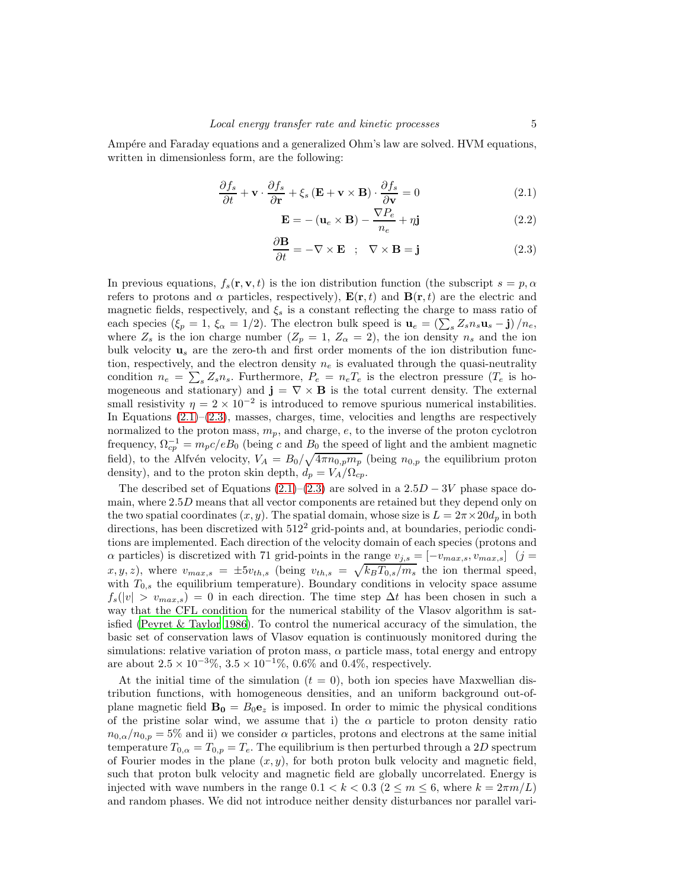Ampére and Faraday equations and a generalized Ohm's law are solved. HVM equations, written in dimensionless form, are the following:

<span id="page-4-0"></span>
$$
\frac{\partial f_s}{\partial t} + \mathbf{v} \cdot \frac{\partial f_s}{\partial \mathbf{r}} + \xi_s (\mathbf{E} + \mathbf{v} \times \mathbf{B}) \cdot \frac{\partial f_s}{\partial \mathbf{v}} = 0
$$
\n(2.1)

$$
\mathbf{E} = -(\mathbf{u}_e \times \mathbf{B}) - \frac{\nabla P_e}{n_e} + \eta \mathbf{j}
$$
 (2.2)

$$
\frac{\partial \mathbf{B}}{\partial t} = -\nabla \times \mathbf{E} \quad ; \quad \nabla \times \mathbf{B} = \mathbf{j} \tag{2.3}
$$

In previous equations,  $f_s(\mathbf{r}, \mathbf{v}, t)$  is the ion distribution function (the subscript  $s = p, \alpha$ refers to protons and  $\alpha$  particles, respectively),  $\mathbf{E}(\mathbf{r},t)$  and  $\mathbf{B}(\mathbf{r},t)$  are the electric and magnetic fields, respectively, and  $\xi_s$  is a constant reflecting the charge to mass ratio of each species ( $\xi_p = 1$ ,  $\xi_\alpha = 1/2$ ). The electron bulk speed is  $\mathbf{u}_e = \left(\sum_s Z_s n_s \mathbf{u}_s - \mathbf{j}\right)/n_e$ , where  $Z_s$  is the ion charge number  $(Z_p = 1, Z_\alpha = 2)$ , the ion density  $n_s$  and the ion bulk velocity  $\mathbf{u}_s$  are the zero-th and first order moments of the ion distribution function, respectively, and the electron density  $n_e$  is evaluated through the quasi-neutrality condition  $n_e = \sum_s Z_s n_s$ . Furthermore,  $P_e = n_e T_e$  is the electron pressure  $(T_e$  is homogeneous and stationary) and  $\mathbf{j} = \nabla \times \mathbf{B}$  is the total current density. The external small resistivity  $\eta = 2 \times 10^{-2}$  is introduced to remove spurious numerical instabilities. In Equations  $(2.1)$ – $(2.3)$ , masses, charges, time, velocities and lengths are respectively normalized to the proton mass,  $m_p$ , and charge,  $e$ , to the inverse of the proton cyclotron frequency,  $\Omega_{cp}^{-1} = m_p c/eB_0$  (being c and  $B_0$  the speed of light and the ambient magnetic field), to the Alfvén velocity,  $V_A = B_0 / \sqrt{4 \pi n_{0,p} m_p}$  (being  $n_{0,p}$  the equilibrium proton density), and to the proton skin depth,  $\dot{d}_p = V_A/\Omega_{cp}$ .

The described set of Equations  $(2.1)–(2.3)$  $(2.1)–(2.3)$  are solved in a  $2.5D - 3V$  phase space domain, where  $2.5D$  means that all vector components are retained but they depend only on the two spatial coordinates  $(x, y)$ . The spatial domain, whose size is  $L = 2\pi \times 20d_p$  in both directions, has been discretized with  $512<sup>2</sup>$  grid-points and, at boundaries, periodic conditions are implemented. Each direction of the velocity domain of each species (protons and  $\alpha$  particles) is discretized with 71 grid-points in the range  $v_{j,s} = [-v_{max,s}, v_{max,s}]$  (j =  $x, y, z$ , where  $v_{max,s} = \pm 5v_{th,s}$  (being  $v_{th,s} = \sqrt{k_B T_{0,s}/m_s}$  the ion thermal speed, with  $T_{0,s}$  the equilibrium temperature). Boundary conditions in velocity space assume  $f_s(|v| > v_{max,s}) = 0$  in each direction. The time step  $\Delta t$  has been chosen in such a way that the CFL condition for the numerical stability of the Vlasov algorithm is satisfied [\(Peyret & Taylor 1986\)](#page-18-17). To control the numerical accuracy of the simulation, the basic set of conservation laws of Vlasov equation is continuously monitored during the simulations: relative variation of proton mass,  $\alpha$  particle mass, total energy and entropy are about  $2.5 \times 10^{-3}\%$ ,  $3.5 \times 10^{-1}\%$ ,  $0.6\%$  and  $0.4\%$ , respectively.

At the initial time of the simulation  $(t = 0)$ , both ion species have Maxwellian distribution functions, with homogeneous densities, and an uniform background out-ofplane magnetic field  $\mathbf{B_0} = B_0 \mathbf{e}_z$  is imposed. In order to mimic the physical conditions of the pristine solar wind, we assume that i) the  $\alpha$  particle to proton density ratio  $n_{0,\alpha}/n_{0,p} = 5\%$  and ii) we consider  $\alpha$  particles, protons and electrons at the same initial temperature  $T_{0,\alpha} = T_{0,p} = T_e$ . The equilibrium is then perturbed through a 2D spectrum of Fourier modes in the plane  $(x, y)$ , for both proton bulk velocity and magnetic field, such that proton bulk velocity and magnetic field are globally uncorrelated. Energy is injected with wave numbers in the range  $0.1 < k < 0.3$  ( $2 \le m \le 6$ , where  $k = 2\pi m/L$ ) and random phases. We did not introduce neither density disturbances nor parallel vari-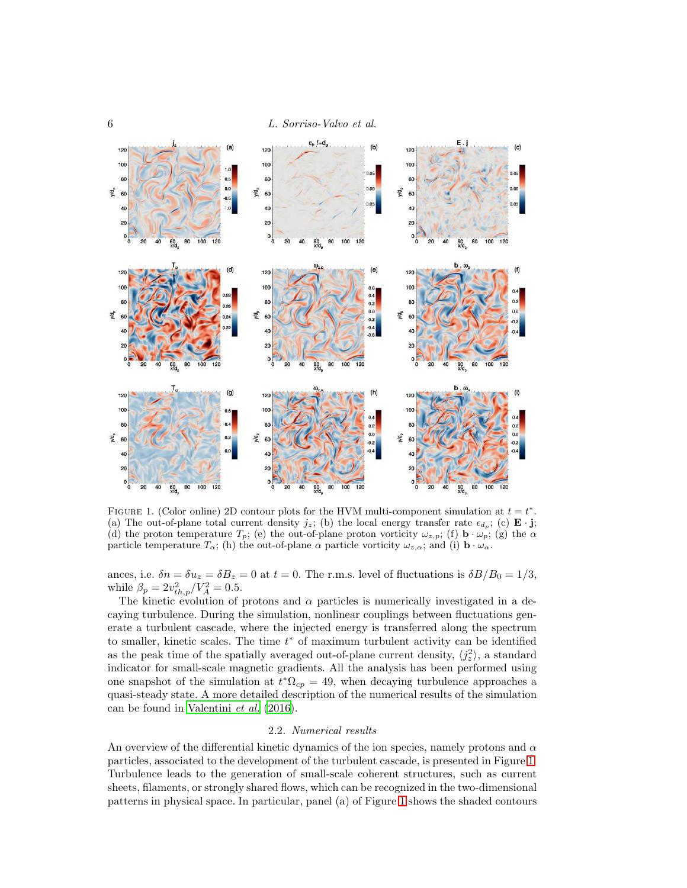

<span id="page-5-0"></span>FIGURE 1. (Color online) 2D contour plots for the HVM multi-component simulation at  $t = t^*$ . (a) The out-of-plane total current density  $j_z$ ; (b) the local energy transfer rate  $\epsilon_{d_p}$ ; (c) **E** · **j**; (d) the proton temperature  $T_p$ ; (e) the out-of-plane proton vorticity  $\omega_{z,p}$ ; (f)  $\mathbf{b} \cdot \omega_p$ ; (g) the  $\alpha$ particle temperature  $T_{\alpha}$ ; (h) the out-of-plane  $\alpha$  particle vorticity  $\omega_{z,\alpha}$ ; and (i)  $\mathbf{b} \cdot \omega_{\alpha}$ .

ances, i.e.  $\delta n = \delta u_z = \delta B_z = 0$  at  $t = 0$ . The r.m.s. level of fluctuations is  $\delta B/B_0 = 1/3$ , while  $\beta_p = 2v_{th,p}^2/V_A^2 = 0.5$ .

The kinetic evolution of protons and  $\alpha$  particles is numerically investigated in a decaying turbulence. During the simulation, nonlinear couplings between fluctuations generate a turbulent cascade, where the injected energy is transferred along the spectrum to smaller, kinetic scales. The time  $t^*$  of maximum turbulent activity can be identified as the peak time of the spatially averaged out-of-plane current density,  $\langle j_z^2 \rangle$ , a standard indicator for small-scale magnetic gradients. All the analysis has been performed using one snapshot of the simulation at  $t^*\Omega_{cp} = 49$ , when decaying turbulence approaches a quasi-steady state. A more detailed description of the numerical results of the simulation can be found in [Valentini](#page-20-8) et al. [\(2016\)](#page-20-8).

#### 2.2. Numerical results

An overview of the differential kinetic dynamics of the ion species, namely protons and  $\alpha$ particles, associated to the development of the turbulent cascade, is presented in Figure [1.](#page-5-0) Turbulence leads to the generation of small-scale coherent structures, such as current sheets, filaments, or strongly shared flows, which can be recognized in the two-dimensional patterns in physical space. In particular, panel (a) of Figure [1](#page-5-0) shows the shaded contours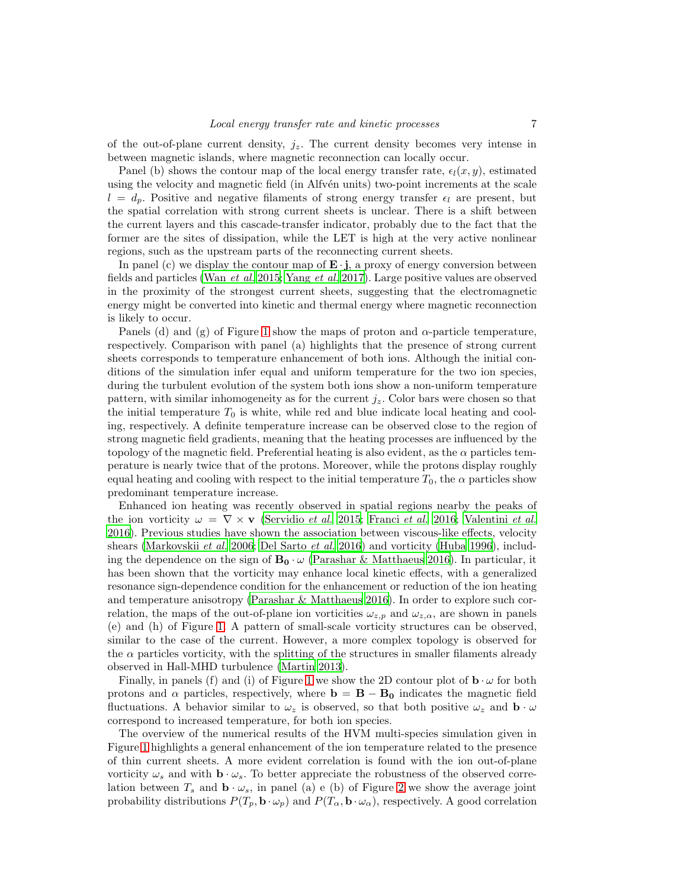of the out-of-plane current density,  $j_z$ . The current density becomes very intense in between magnetic islands, where magnetic reconnection can locally occur.

Panel (b) shows the contour map of the local energy transfer rate,  $\epsilon_l(x, y)$ , estimated using the velocity and magnetic field (in Alfvén units) two-point increments at the scale  $l = d_p$ . Positive and negative filaments of strong energy transfer  $\epsilon_l$  are present, but the spatial correlation with strong current sheets is unclear. There is a shift between the current layers and this cascade-transfer indicator, probably due to the fact that the former are the sites of dissipation, while the LET is high at the very active nonlinear regions, such as the upstream parts of the reconnecting current sheets.

In panel (c) we display the contour map of  $\mathbf{E} \cdot \mathbf{j}$ , a proxy of energy conversion between fields and particles (Wan [et al.](#page-20-13) [2015;](#page-20-13) [Yang](#page-20-14) et al. [2017\)](#page-20-14). Large positive values are observed in the proximity of the strongest current sheets, suggesting that the electromagnetic energy might be converted into kinetic and thermal energy where magnetic reconnection is likely to occur.

Panels (d) and (g) of Figure [1](#page-5-0) show the maps of proton and α-particle temperature, respectively. Comparison with panel (a) highlights that the presence of strong current sheets corresponds to temperature enhancement of both ions. Although the initial conditions of the simulation infer equal and uniform temperature for the two ion species, during the turbulent evolution of the system both ions show a non-uniform temperature pattern, with similar inhomogeneity as for the current  $j_z$ . Color bars were chosen so that the initial temperature  $T_0$  is white, while red and blue indicate local heating and cooling, respectively. A definite temperature increase can be observed close to the region of strong magnetic field gradients, meaning that the heating processes are influenced by the topology of the magnetic field. Preferential heating is also evident, as the  $\alpha$  particles temperature is nearly twice that of the protons. Moreover, while the protons display roughly equal heating and cooling with respect to the initial temperature  $T_0$ , the  $\alpha$  particles show predominant temperature increase.

Enhanced ion heating was recently observed in spatial regions nearby the peaks of the ion vorticity  $\omega = \nabla \times \mathbf{v}$  [\(Servidio](#page-19-8) *et al.* [2015;](#page-19-8) [Franci](#page-17-15) *et al.* [2016;](#page-17-15) [Valentini](#page-20-8) *et al.* [2016\)](#page-20-8). Previous studies have shown the association between viscous-like effects, velocity shears [\(Markovskii](#page-18-18) *et al.* [2006;](#page-18-18) [Del Sarto](#page-17-16) *et al.* [2016](#page-17-16)) and vorticity [\(Huba 1996\)](#page-17-17), including the dependence on the sign of  $B_0 \cdot \omega$  [\(Parashar & Matthaeus 2016](#page-18-19)). In particular, it has been shown that the vorticity may enhance local kinetic effects, with a generalized resonance sign-dependence condition for the enhancement or reduction of the ion heating and temperature anisotropy [\(Parashar & Matthaeus 2016](#page-18-19)). In order to explore such correlation, the maps of the out-of-plane ion vorticities  $\omega_{z,p}$  and  $\omega_{z,\alpha}$ , are shown in panels (e) and (h) of Figure [1.](#page-5-0) A pattern of small-scale vorticity structures can be observed, similar to the case of the current. However, a more complex topology is observed for the  $\alpha$  particles vorticity, with the splitting of the structures in smaller filaments already observed in Hall-MHD turbulence [\(Martin 2013\)](#page-18-20).

Finally, in panels (f) and (i) of Figure [1](#page-5-0) we show the 2D contour plot of  $\mathbf{b} \cdot \omega$  for both protons and  $\alpha$  particles, respectively, where  $\mathbf{b} = \mathbf{B} - \mathbf{B_0}$  indicates the magnetic field fluctuations. A behavior similar to  $\omega_z$  is observed, so that both positive  $\omega_z$  and  $\mathbf{b} \cdot \omega$ correspond to increased temperature, for both ion species.

The overview of the numerical results of the HVM multi-species simulation given in Figure [1](#page-5-0) highlights a general enhancement of the ion temperature related to the presence of thin current sheets. A more evident correlation is found with the ion out-of-plane vorticity  $\omega_s$  and with  $\mathbf{b} \cdot \omega_s$ . To better appreciate the robustness of the observed correlation between  $T_s$  and  $\mathbf{b} \cdot \omega_s$ , in panel (a) e (b) of Figure [2](#page-7-0) we show the average joint probability distributions  $P(T_p, \mathbf{b} \cdot \omega_p)$  and  $P(T_\alpha, \mathbf{b} \cdot \omega_\alpha)$ , respectively. A good correlation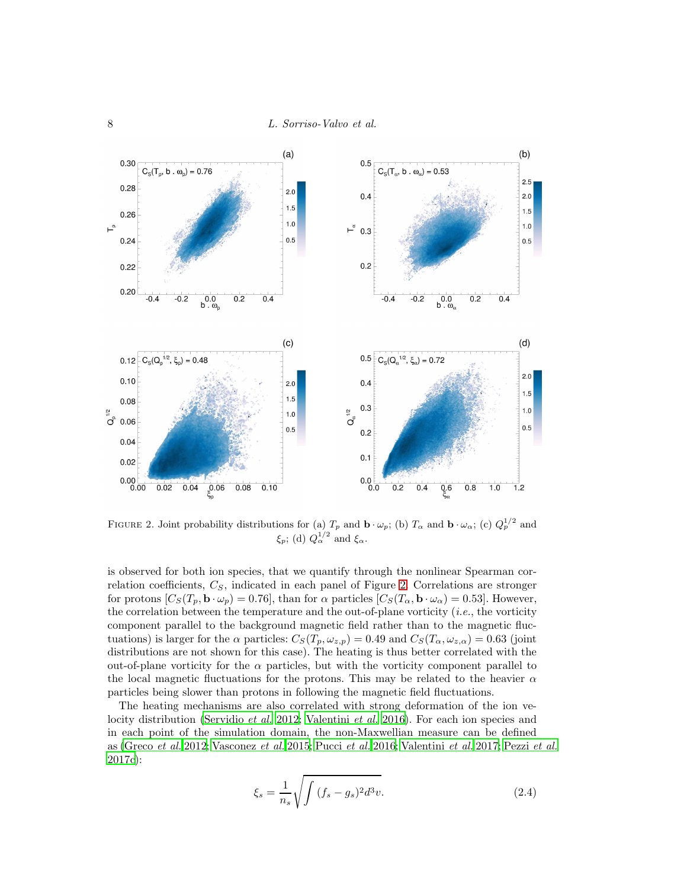

<span id="page-7-0"></span>FIGURE 2. Joint probability distributions for (a)  $T_p$  and  $\mathbf{b} \cdot \omega_p$ ; (b)  $T_\alpha$  and  $\mathbf{b} \cdot \omega_\alpha$ ; (c)  $Q_p^{1/2}$  and  $\xi_p$ ; (d)  $Q_{\alpha}^{1/2}$  and  $\xi_{\alpha}$ .

is observed for both ion species, that we quantify through the nonlinear Spearman correlation coefficients,  $C_S$ , indicated in each panel of Figure [2.](#page-7-0) Correlations are stronger for protons  $[C_S(T_p, \mathbf{b} \cdot \omega_p) = 0.76]$ , than for  $\alpha$  particles  $[C_S(T_\alpha, \mathbf{b} \cdot \omega_\alpha) = 0.53]$ . However, the correlation between the temperature and the out-of-plane vorticity (*i.e.*, the vorticity component parallel to the background magnetic field rather than to the magnetic fluctuations) is larger for the  $\alpha$  particles:  $C_S(T_p, \omega_{z,p}) = 0.49$  and  $C_S(T_\alpha, \omega_{z,\alpha}) = 0.63$  (joint distributions are not shown for this case). The heating is thus better correlated with the out-of-plane vorticity for the  $\alpha$  particles, but with the vorticity component parallel to the local magnetic fluctuations for the protons. This may be related to the heavier  $\alpha$ particles being slower than protons in following the magnetic field fluctuations.

The heating mechanisms are also correlated with strong deformation of the ion ve-locity distribution [\(Servidio](#page-19-9) *et al.* [2012;](#page-19-9) [Valentini](#page-20-8) *et al.* [2016\)](#page-20-8). For each ion species and in each point of the simulation domain, the non-Maxwellian measure can be defined as [\(Greco](#page-17-3) et al. [2012](#page-17-3); [Vasconez](#page-20-15) et al. [2015;](#page-20-15) [Pucci](#page-19-18) et al. [2016;](#page-19-18) [Valentini](#page-20-16) et al. [2017](#page-20-16); [Pezzi](#page-19-19) et al. [2017c](#page-19-19)):

$$
\xi_s = \frac{1}{n_s} \sqrt{\int (f_s - g_s)^2 d^3 v}.
$$
\n(2.4)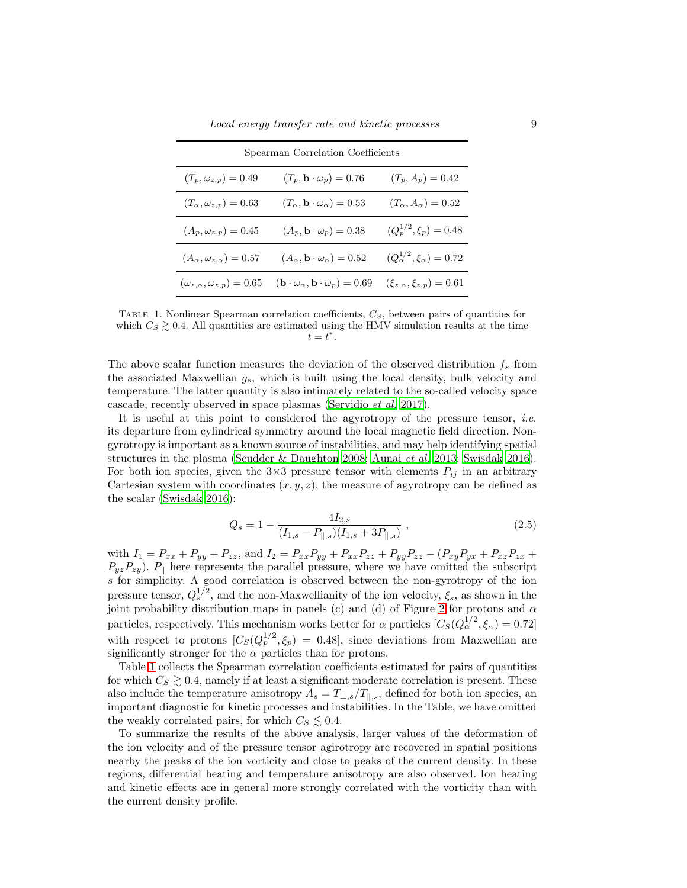| Spearman Correlation Coefficients          |                                                                          |                                           |
|--------------------------------------------|--------------------------------------------------------------------------|-------------------------------------------|
| $(T_p, \omega_{z,p}) = 0.49$               | $(T_p, \mathbf{b} \cdot \omega_p) = 0.76$                                | $(T_p, A_p) = 0.42$                       |
| $(T_{\alpha}, \omega_{z,p}) = 0.63$        | $(T_{\alpha}, \mathbf{b} \cdot \omega_{\alpha}) = 0.53$                  | $(T_{\alpha}, A_{\alpha}) = 0.52$         |
| $(A_p, \omega_{z,p}) = 0.45$               | $(A_p, \mathbf{b} \cdot \omega_p) = 0.38$                                | $(Q_p^{1/2}, \xi_p) = 0.48$               |
| $(A_{\alpha}, \omega_{z,\alpha}) = 0.57$   | $(A_{\alpha}, \mathbf{b} \cdot \omega_{\alpha}) = 0.52$                  | $(Q_{\alpha}^{1/2}, \xi_{\alpha}) = 0.72$ |
| $(\omega_{z,\alpha}, \omega_{z,n}) = 0.65$ | $(\mathbf{b} \cdot \omega_{\alpha}, \mathbf{b} \cdot \omega_{p}) = 0.69$ | $(\xi_{z,\alpha}, \xi_{z,p}) = 0.61$      |

<span id="page-8-0"></span>TABLE 1. Nonlinear Spearman correlation coefficients,  $C_S$ , between pairs of quantities for which  $C_S \geq 0.4$ . All quantities are estimated using the HMV simulation results at the time  $t=t^*$ .

The above scalar function measures the deviation of the observed distribution  $f_s$  from the associated Maxwellian  $g_s$ , which is built using the local density, bulk velocity and temperature. The latter quantity is also intimately related to the so-called velocity space cascade, recently observed in space plasmas [\(Servidio](#page-19-2) et al. [2017](#page-19-2)).

It is useful at this point to considered the agyrotropy of the pressure tensor, *i.e.* its departure from cylindrical symmetry around the local magnetic field direction. Nongyrotropy is important as a known source of instabilities, and may help identifying spatial structures in the plasma [\(Scudder & Daughton 2008;](#page-19-20) [Aunai](#page-16-15) *et al.* [2013;](#page-16-15) [Swisdak 2016\)](#page-20-17). For both ion species, given the 3×3 pressure tensor with elements  $P_{ij}$  in an arbitrary Cartesian system with coordinates  $(x, y, z)$ , the measure of agyrotropy can be defined as the scalar [\(Swisdak 2016\)](#page-20-17):

$$
Q_s = 1 - \frac{4I_{2,s}}{(I_{1,s} - P_{\parallel,s})(I_{1,s} + 3P_{\parallel,s})},
$$
\n(2.5)

with  $I_1 = P_{xx} + P_{yy} + P_{zz}$ , and  $I_2 = P_{xx}P_{yy} + P_{xx}P_{zz} + P_{yy}P_{zz} - (P_{xy}P_{yx} + P_{xz}P_{zx} + P_{yy}P_{zz} - P_{zz}P_{zz} - P_{zz}P_{zz} - P_{zz}P_{zz} - P_{zz}P_{zz} - P_{zz}P_{zz} - P_{zz}P_{zz} - P_{zz}P_{zz} - P_{zz}P_{zz} - P_{zz}P_{zz} - P_{zz}P_{zz} - P_{zz}P_{zz} - P_{zz}P_{zz} - P_{zz}P_{zz} - P_{zz}P_{zz} - P_{zz}$  $P_{yz}P_{zy}$ ).  $P_{\parallel}$  here represents the parallel pressure, where we have omitted the subscript s for simplicity. A good correlation is observed between the non-gyrotropy of the ion pressure tensor,  $Q_s^{1/2}$ , and the non-Maxwellianity of the ion velocity,  $\xi_s$ , as shown in the joint probability distribution maps in panels (c) and (d) of Figure [2](#page-7-0) for protons and  $\alpha$ particles, respectively. This mechanism works better for  $\alpha$  particles  $[C_S(Q_\alpha^{1/2},\xi_\alpha)=0.72]$ with respect to protons  $[C_S(Q_p^{1/2}, \xi_p) = 0.48]$ , since deviations from Maxwellian are significantly stronger for the  $\alpha$  particles than for protons.

Table [1](#page-8-0) collects the Spearman correlation coefficients estimated for pairs of quantities for which  $C_S \geq 0.4$ , namely if at least a significant moderate correlation is present. These also include the temperature anisotropy  $A_s = T_{\perp,s}/T_{\parallel,s}$ , defined for both ion species, an important diagnostic for kinetic processes and instabilities. In the Table, we have omitted the weakly correlated pairs, for which  $C_S \lesssim 0.4$ .

To summarize the results of the above analysis, larger values of the deformation of the ion velocity and of the pressure tensor agirotropy are recovered in spatial positions nearby the peaks of the ion vorticity and close to peaks of the current density. In these regions, differential heating and temperature anisotropy are also observed. Ion heating and kinetic effects are in general more strongly correlated with the vorticity than with the current density profile.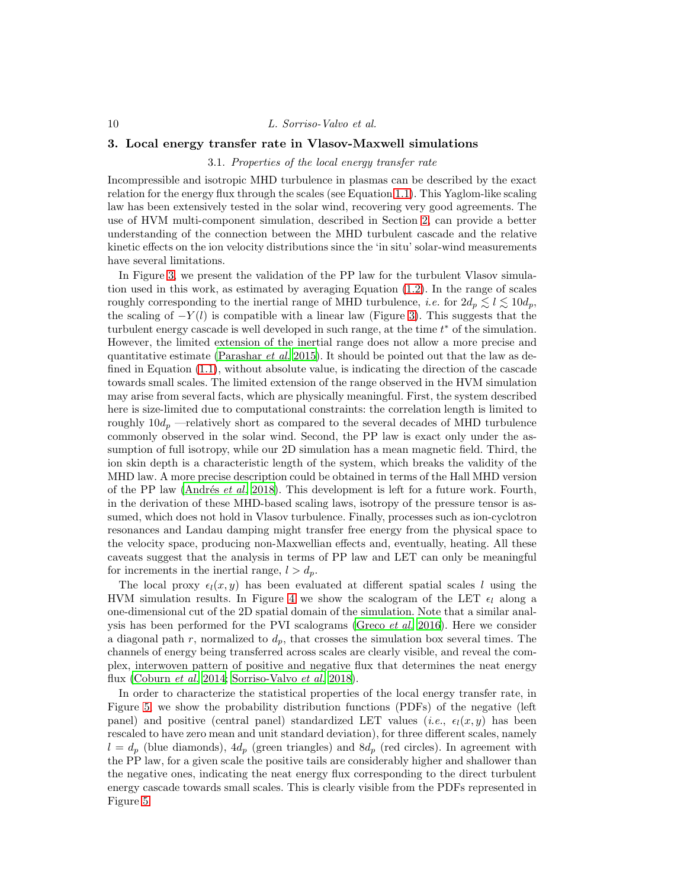# 3. Local energy transfer rate in Vlasov-Maxwell simulations

## 3.1. Properties of the local energy transfer rate

Incompressible and isotropic MHD turbulence in plasmas can be described by the exact relation for the energy flux through the scales (see Equation [1.1\)](#page-2-0). This Yaglom-like scaling law has been extensively tested in the solar wind, recovering very good agreements. The use of HVM multi-component simulation, described in Section [2,](#page-3-1) can provide a better understanding of the connection between the MHD turbulent cascade and the relative kinetic effects on the ion velocity distributions since the 'in situ' solar-wind measurements have several limitations.

In Figure [3,](#page-10-0) we present the validation of the PP law for the turbulent Vlasov simulation used in this work, as estimated by averaging Equation [\(1.2\)](#page-3-0). In the range of scales roughly corresponding to the inertial range of MHD turbulence, *i.e.* for  $2d_p \leq l \leq 10d_p$ , the scaling of  $-Y(l)$  is compatible with a linear law (Figure [3\)](#page-10-0). This suggests that the turbulent energy cascade is well developed in such range, at the time  $t^*$  of the simulation. However, the limited extension of the inertial range does not allow a more precise and quantitative estimate [\(Parashar](#page-18-21) *et al.* [2015\)](#page-18-21). It should be pointed out that the law as defined in Equation [\(1.1\)](#page-2-0), without absolute value, is indicating the direction of the cascade towards small scales. The limited extension of the range observed in the HVM simulation may arise from several facts, which are physically meaningful. First, the system described here is size-limited due to computational constraints: the correlation length is limited to roughly  $10d_p$  —relatively short as compared to the several decades of MHD turbulence commonly observed in the solar wind. Second, the PP law is exact only under the assumption of full isotropy, while our 2D simulation has a mean magnetic field. Third, the ion skin depth is a characteristic length of the system, which breaks the validity of the MHD law. A more precise description could be obtained in terms of the Hall MHD version of the PP law (Andrés *et al.* [2018\)](#page-16-14). This development is left for a future work. Fourth, in the derivation of these MHD-based scaling laws, isotropy of the pressure tensor is assumed, which does not hold in Vlasov turbulence. Finally, processes such as ion-cyclotron resonances and Landau damping might transfer free energy from the physical space to the velocity space, producing non-Maxwellian effects and, eventually, heating. All these caveats suggest that the analysis in terms of PP law and LET can only be meaningful for increments in the inertial range,  $l > d_p$ .

The local proxy  $\epsilon_l(x, y)$  has been evaluated at different spatial scales l using the HVM simulation results. In Figure [4](#page-10-1) we show the scalogram of the LET  $\epsilon_l$  along a one-dimensional cut of the 2D spatial domain of the simulation. Note that a similar anal-ysis has been performed for the PVI scalograms [\(Greco](#page-17-18) *et al.* [2016\)](#page-17-18). Here we consider a diagonal path r, normalized to  $d_p$ , that crosses the simulation box several times. The channels of energy being transferred across scales are clearly visible, and reveal the complex, interwoven pattern of positive and negative flux that determines the neat energy flux [\(Coburn](#page-17-19) et al. [2014;](#page-17-19) [Sorriso-Valvo](#page-20-12) et al. [2018\)](#page-20-12).

In order to characterize the statistical properties of the local energy transfer rate, in Figure [5,](#page-11-0) we show the probability distribution functions (PDFs) of the negative (left panel) and positive (central panel) standardized LET values (*i.e.*,  $\epsilon_l(x, y)$  has been rescaled to have zero mean and unit standard deviation), for three different scales, namely  $l = d_p$  (blue diamonds),  $4d_p$  (green triangles) and  $8d_p$  (red circles). In agreement with the PP law, for a given scale the positive tails are considerably higher and shallower than the negative ones, indicating the neat energy flux corresponding to the direct turbulent energy cascade towards small scales. This is clearly visible from the PDFs represented in Figure [5.](#page-11-0)

<span id="page-9-0"></span>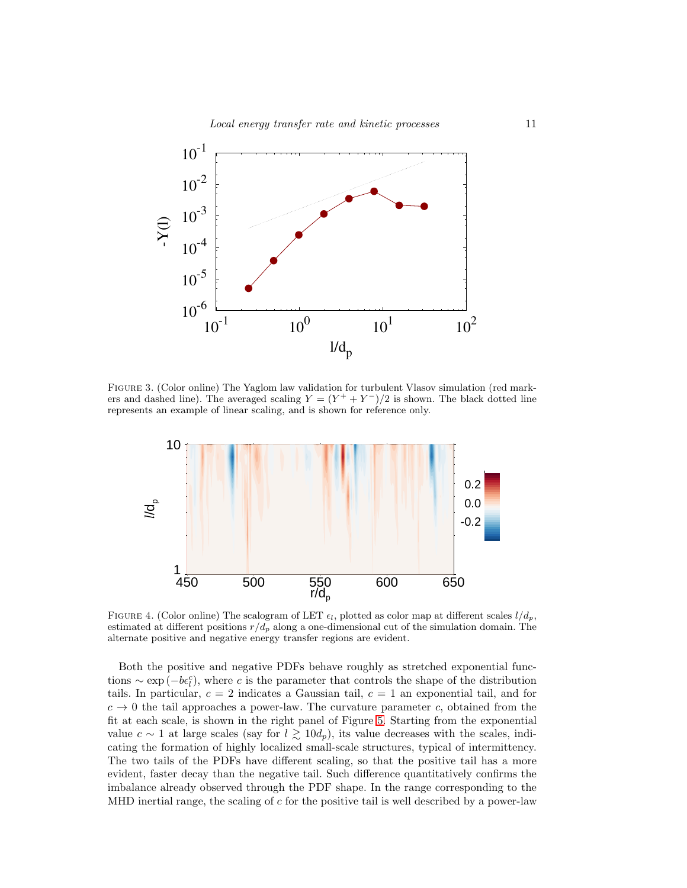

Figure 3. (Color online) The Yaglom law validation for turbulent Vlasov simulation (red markers and dashed line). The averaged scaling  $Y = (Y^+ + Y^-)/2$  is shown. The black dotted line represents an example of linear scaling, and is shown for reference only.

<span id="page-10-0"></span>

<span id="page-10-1"></span>FIGURE 4. (Color online) The scalogram of LET  $\epsilon_l$ , plotted as color map at different scales  $l/d_p$ , estimated at different positions  $r/d_p$  along a one-dimensional cut of the simulation domain. The alternate positive and negative energy transfer regions are evident.

Both the positive and negative PDFs behave roughly as stretched exponential functions  $\sim \exp(-b\epsilon_l^c)$ , where c is the parameter that controls the shape of the distribution tails. In particular,  $c = 2$  indicates a Gaussian tail,  $c = 1$  an exponential tail, and for  $c \to 0$  the tail approaches a power-law. The curvature parameter c, obtained from the fit at each scale, is shown in the right panel of Figure [5.](#page-11-0) Starting from the exponential value  $c \sim 1$  at large scales (say for  $l \gtrsim 10d_p$ ), its value decreases with the scales, indicating the formation of highly localized small-scale structures, typical of intermittency. The two tails of the PDFs have different scaling, so that the positive tail has a more evident, faster decay than the negative tail. Such difference quantitatively confirms the imbalance already observed through the PDF shape. In the range corresponding to the MHD inertial range, the scaling of  $c$  for the positive tail is well described by a power-law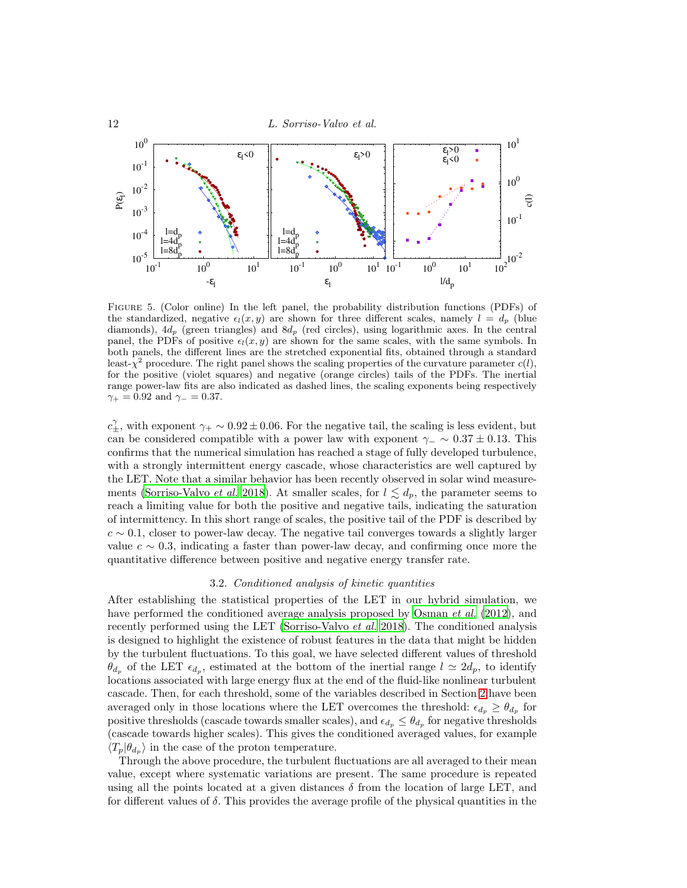

<span id="page-11-0"></span>Figure 5. (Color online) In the left panel, the probability distribution functions (PDFs) of the standardized, negative  $\epsilon_l(x, y)$  are shown for three different scales, namely  $l = d_p$  (blue diamonds),  $4d_p$  (green triangles) and  $8d_p$  (red circles), using logarithmic axes. In the central panel, the PDFs of positive  $\epsilon_l(x, y)$  are shown for the same scales, with the same symbols. In both panels, the different lines are the stretched exponential fits, obtained through a standard least- $\chi^2$  procedure. The right panel shows the scaling properties of the curvature parameter  $c(l)$ , for the positive (violet squares) and negative (orange circles) tails of the PDFs. The inertial range power-law fits are also indicated as dashed lines, the scaling exponents being respectively  $\gamma_+ = 0.92$  and  $\gamma_- = 0.37$ .

 $c_{\pm}^{\gamma}$ , with exponent  $\gamma_+ \sim 0.92 \pm 0.06$ . For the negative tail, the scaling is less evident, but can be considered compatible with a power law with exponent  $\gamma_-\sim 0.37\pm 0.13$ . This confirms that the numerical simulation has reached a stage of fully developed turbulence, with a strongly intermittent energy cascade, whose characteristics are well captured by the LET. Note that a similar behavior has been recently observed in solar wind measure-ments [\(Sorriso-Valvo](#page-20-12) *et al.* [2018\)](#page-20-12). At smaller scales, for  $l \lesssim d_p$ , the parameter seems to reach a limiting value for both the positive and negative tails, indicating the saturation of intermittency. In this short range of scales, the positive tail of the PDF is described by  $c \sim 0.1$ , closer to power-law decay. The negative tail converges towards a slightly larger value  $c \sim 0.3$ , indicating a faster than power-law decay, and confirming once more the quantitative difference between positive and negative energy transfer rate.

## 3.2. Conditioned analysis of kinetic quantities

After establishing the statistical properties of the LET in our hybrid simulation, we have performed the conditioned average analysis proposed by [Osman](#page-18-11) *et al.* [\(2012](#page-18-11)), and recently performed using the LET [\(Sorriso-Valvo](#page-20-12) *et al.* [2018\)](#page-20-12). The conditioned analysis is designed to highlight the existence of robust features in the data that might be hidden by the turbulent fluctuations. To this goal, we have selected different values of threshold  $\theta_{d_p}$  of the LET  $\epsilon_{d_p}$ , estimated at the bottom of the inertial range  $l \simeq 2d_p$ , to identify locations associated with large energy flux at the end of the fluid-like nonlinear turbulent cascade. Then, for each threshold, some of the variables described in Section [2](#page-3-1) have been averaged only in those locations where the LET overcomes the threshold:  $\epsilon_{d_p} \geq \theta_{d_p}$  for positive thresholds (cascade towards smaller scales), and  $\epsilon_{d_p} \leq \theta_{d_p}$  for negative thresholds (cascade towards higher scales). This gives the conditioned averaged values, for example  $\langle T_p | \theta_{d_p} \rangle$  in the case of the proton temperature.

Through the above procedure, the turbulent fluctuations are all averaged to their mean value, except where systematic variations are present. The same procedure is repeated using all the points located at a given distances  $\delta$  from the location of large LET, and for different values of  $\delta$ . This provides the average profile of the physical quantities in the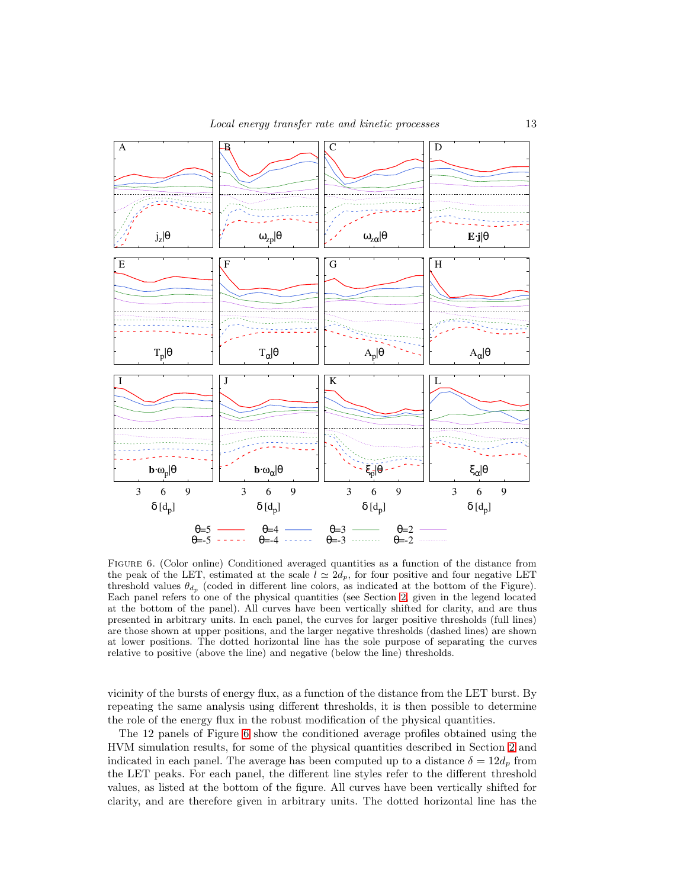

<span id="page-12-0"></span>FIGURE 6. (Color online) Conditioned averaged quantities as a function of the distance from the peak of the LET, estimated at the scale  $l \approx 2d_p$ , for four positive and four negative LET threshold values  $\theta_{d_p}$  (coded in different line colors, as indicated at the bottom of the Figure). Each panel refers to one of the physical quantities (see Section [2,](#page-3-1) given in the legend located at the bottom of the panel). All curves have been vertically shifted for clarity, and are thus presented in arbitrary units. In each panel, the curves for larger positive thresholds (full lines) are those shown at upper positions, and the larger negative thresholds (dashed lines) are shown at lower positions. The dotted horizontal line has the sole purpose of separating the curves relative to positive (above the line) and negative (below the line) thresholds.

vicinity of the bursts of energy flux, as a function of the distance from the LET burst. By repeating the same analysis using different thresholds, it is then possible to determine the role of the energy flux in the robust modification of the physical quantities.

The 12 panels of Figure [6](#page-12-0) show the conditioned average profiles obtained using the HVM simulation results, for some of the physical quantities described in Section [2](#page-3-1) and indicated in each panel. The average has been computed up to a distance  $\delta = 12d_p$  from the LET peaks. For each panel, the different line styles refer to the different threshold values, as listed at the bottom of the figure. All curves have been vertically shifted for clarity, and are therefore given in arbitrary units. The dotted horizontal line has the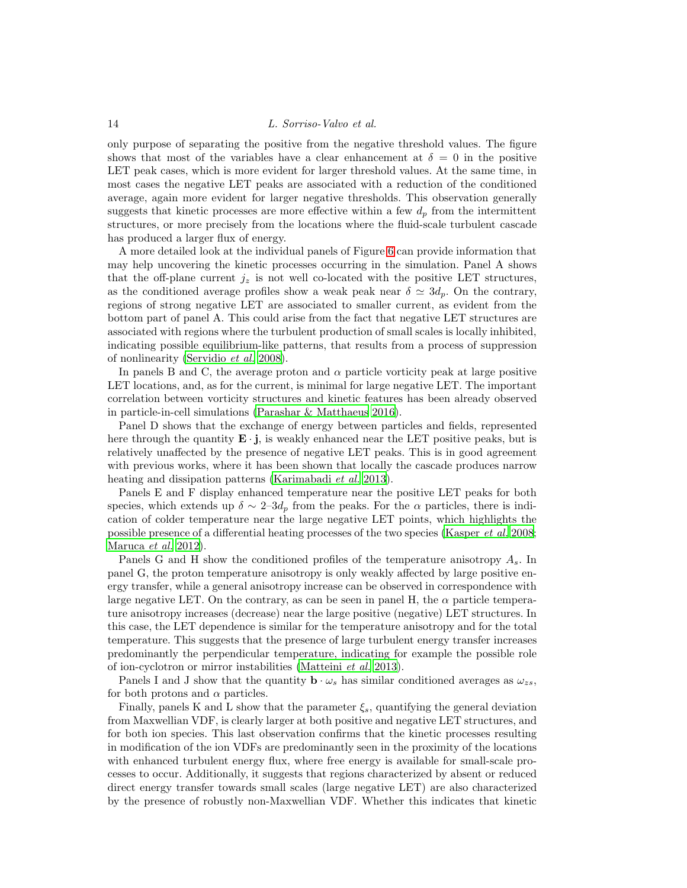only purpose of separating the positive from the negative threshold values. The figure shows that most of the variables have a clear enhancement at  $\delta = 0$  in the positive LET peak cases, which is more evident for larger threshold values. At the same time, in most cases the negative LET peaks are associated with a reduction of the conditioned average, again more evident for larger negative thresholds. This observation generally suggests that kinetic processes are more effective within a few  $d_p$  from the intermittent structures, or more precisely from the locations where the fluid-scale turbulent cascade has produced a larger flux of energy.

A more detailed look at the individual panels of Figure [6](#page-12-0) can provide information that may help uncovering the kinetic processes occurring in the simulation. Panel A shows that the off-plane current  $j_z$  is not well co-located with the positive LET structures, as the conditioned average profiles show a weak peak near  $\delta \simeq 3d_p$ . On the contrary, regions of strong negative LET are associated to smaller current, as evident from the bottom part of panel A. This could arise from the fact that negative LET structures are associated with regions where the turbulent production of small scales is locally inhibited, indicating possible equilibrium-like patterns, that results from a process of suppression of nonlinearity [\(Servidio](#page-19-21) et al. [2008\)](#page-19-21).

In panels B and C, the average proton and  $\alpha$  particle vorticity peak at large positive LET locations, and, as for the current, is minimal for large negative LET. The important correlation between vorticity structures and kinetic features has been already observed in particle-in-cell simulations [\(Parashar & Matthaeus 2016\)](#page-18-19).

Panel D shows that the exchange of energy between particles and fields, represented here through the quantity  $\mathbf{E} \cdot \mathbf{j}$ , is weakly enhanced near the LET positive peaks, but is relatively unaffected by the presence of negative LET peaks. This is in good agreement with previous works, where it has been shown that locally the cascade produces narrow heating and dissipation patterns [\(Karimabadi](#page-17-20) *et al.* [2013](#page-17-20)).

Panels E and F display enhanced temperature near the positive LET peaks for both species, which extends up  $\delta \sim 2-3d_p$  from the peaks. For the  $\alpha$  particles, there is indication of colder temperature near the large negative LET points, which highlights the possible presence of a differential heating processes of the two species [\(Kasper](#page-17-5) et al. [2008;](#page-17-5) [Maruca](#page-18-22) et al. [2012\)](#page-18-22).

Panels G and H show the conditioned profiles of the temperature anisotropy  $A_s$ . In panel G, the proton temperature anisotropy is only weakly affected by large positive energy transfer, while a general anisotropy increase can be observed in correspondence with large negative LET. On the contrary, as can be seen in panel H, the  $\alpha$  particle temperature anisotropy increases (decrease) near the large positive (negative) LET structures. In this case, the LET dependence is similar for the temperature anisotropy and for the total temperature. This suggests that the presence of large turbulent energy transfer increases predominantly the perpendicular temperature, indicating for example the possible role of ion-cyclotron or mirror instabilities [\(Matteini](#page-18-12) et al. [2013\)](#page-18-12).

Panels I and J show that the quantity  $\mathbf{b} \cdot \omega_s$  has similar conditioned averages as  $\omega_{zs}$ , for both protons and  $\alpha$  particles.

Finally, panels K and L show that the parameter  $\xi_s$ , quantifying the general deviation from Maxwellian VDF, is clearly larger at both positive and negative LET structures, and for both ion species. This last observation confirms that the kinetic processes resulting in modification of the ion VDFs are predominantly seen in the proximity of the locations with enhanced turbulent energy flux, where free energy is available for small-scale processes to occur. Additionally, it suggests that regions characterized by absent or reduced direct energy transfer towards small scales (large negative LET) are also characterized by the presence of robustly non-Maxwellian VDF. Whether this indicates that kinetic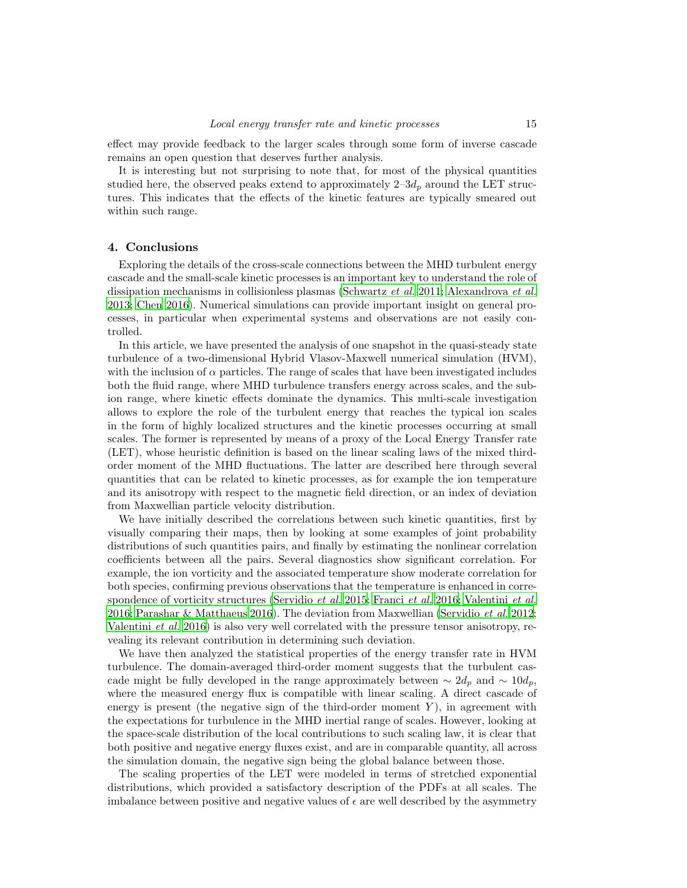effect may provide feedback to the larger scales through some form of inverse cascade remains an open question that deserves further analysis.

It is interesting but not surprising to note that, for most of the physical quantities studied here, the observed peaks extend to approximately  $2-3d_p$  around the LET structures. This indicates that the effects of the kinetic features are typically smeared out within such range.

# <span id="page-14-0"></span>4. Conclusions

Exploring the details of the cross-scale connections between the MHD turbulent energy cascade and the small-scale kinetic processes is an important key to understand the role of dissipation mechanisms in collisionless plasmas [\(Schwartz](#page-19-0) et al. [2011](#page-19-0); [Alexandrova](#page-16-1) et al. [2013;](#page-16-1) [Chen 2016](#page-16-12)). Numerical simulations can provide important insight on general processes, in particular when experimental systems and observations are not easily controlled.

In this article, we have presented the analysis of one snapshot in the quasi-steady state turbulence of a two-dimensional Hybrid Vlasov-Maxwell numerical simulation (HVM), with the inclusion of  $\alpha$  particles. The range of scales that have been investigated includes both the fluid range, where MHD turbulence transfers energy across scales, and the subion range, where kinetic effects dominate the dynamics. This multi-scale investigation allows to explore the role of the turbulent energy that reaches the typical ion scales in the form of highly localized structures and the kinetic processes occurring at small scales. The former is represented by means of a proxy of the Local Energy Transfer rate (LET), whose heuristic definition is based on the linear scaling laws of the mixed thirdorder moment of the MHD fluctuations. The latter are described here through several quantities that can be related to kinetic processes, as for example the ion temperature and its anisotropy with respect to the magnetic field direction, or an index of deviation from Maxwellian particle velocity distribution.

We have initially described the correlations between such kinetic quantities, first by visually comparing their maps, then by looking at some examples of joint probability distributions of such quantities pairs, and finally by estimating the nonlinear correlation coefficients between all the pairs. Several diagnostics show significant correlation. For example, the ion vorticity and the associated temperature show moderate correlation for both species, confirming previous observations that the temperature is enhanced in correspondence of vorticity structures [\(Servidio](#page-19-8) et al. [2015](#page-19-8); [Franci](#page-17-15) et al. [2016;](#page-17-15) [Valentini](#page-20-8) et al. [2016;](#page-20-8) [Parashar & Matthaeus 2016\)](#page-18-19). The deviation from Maxwellian [\(Servidio](#page-19-9) et al. [2012;](#page-19-9) [Valentini](#page-20-8) et al. [2016\)](#page-20-8) is also very well correlated with the pressure tensor anisotropy, revealing its relevant contribution in determining such deviation.

We have then analyzed the statistical properties of the energy transfer rate in HVM turbulence. The domain-averaged third-order moment suggests that the turbulent cascade might be fully developed in the range approximately between  $\sim 2d_p$  and  $\sim 10d_p$ , where the measured energy flux is compatible with linear scaling. A direct cascade of energy is present (the negative sign of the third-order moment  $Y$ ), in agreement with the expectations for turbulence in the MHD inertial range of scales. However, looking at the space-scale distribution of the local contributions to such scaling law, it is clear that both positive and negative energy fluxes exist, and are in comparable quantity, all across the simulation domain, the negative sign being the global balance between those.

The scaling properties of the LET were modeled in terms of stretched exponential distributions, which provided a satisfactory description of the PDFs at all scales. The imbalance between positive and negative values of  $\epsilon$  are well described by the asymmetry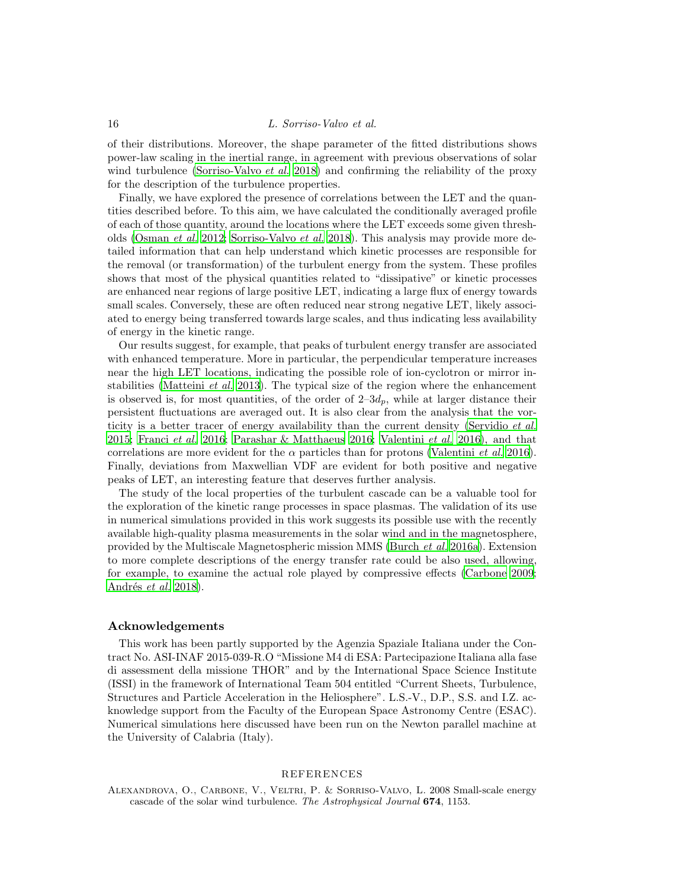of their distributions. Moreover, the shape parameter of the fitted distributions shows power-law scaling in the inertial range, in agreement with previous observations of solar wind turbulence [\(Sorriso-Valvo](#page-20-12) *et al.* [2018](#page-20-12)) and confirming the reliability of the proxy for the description of the turbulence properties.

Finally, we have explored the presence of correlations between the LET and the quantities described before. To this aim, we have calculated the conditionally averaged profile of each of those quantity, around the locations where the LET exceeds some given thresholds [\(Osman](#page-18-11) et al. [2012;](#page-18-11) [Sorriso-Valvo](#page-20-12) et al. [2018\)](#page-20-12). This analysis may provide more detailed information that can help understand which kinetic processes are responsible for the removal (or transformation) of the turbulent energy from the system. These profiles shows that most of the physical quantities related to "dissipative" or kinetic processes are enhanced near regions of large positive LET, indicating a large flux of energy towards small scales. Conversely, these are often reduced near strong negative LET, likely associated to energy being transferred towards large scales, and thus indicating less availability of energy in the kinetic range.

Our results suggest, for example, that peaks of turbulent energy transfer are associated with enhanced temperature. More in particular, the perpendicular temperature increases near the high LET locations, indicating the possible role of ion-cyclotron or mirror in-stabilities [\(Matteini](#page-18-12) *et al.* [2013\)](#page-18-12). The typical size of the region where the enhancement is observed is, for most quantities, of the order of  $2-3d_p$ , while at larger distance their persistent fluctuations are averaged out. It is also clear from the analysis that the vor-ticity is a better tracer of energy availability than the current density [\(Servidio](#page-19-8) et al. [2015;](#page-19-8) [Franci](#page-17-15) et al. [2016;](#page-17-15) [Parashar & Matthaeus 2016;](#page-18-19) [Valentini](#page-20-8) et al. [2016\)](#page-20-8), and that correlations are more evident for the  $\alpha$  particles than for protons [\(Valentini](#page-20-8) *et al.* [2016\)](#page-20-8). Finally, deviations from Maxwellian VDF are evident for both positive and negative peaks of LET, an interesting feature that deserves further analysis.

The study of the local properties of the turbulent cascade can be a valuable tool for the exploration of the kinetic range processes in space plasmas. The validation of its use in numerical simulations provided in this work suggests its possible use with the recently available high-quality plasma measurements in the solar wind and in the magnetosphere, provided by the Multiscale Magnetospheric mission MMS [\(Burch](#page-16-16) et al. [2016a\)](#page-16-16). Extension to more complete descriptions of the energy transfer rate could be also used, allowing, for example, to examine the actual role played by compressive effects [\(Carbone 2009;](#page-16-17) Andrés et al. [2018\)](#page-16-14).

# Acknowledgements

This work has been partly supported by the Agenzia Spaziale Italiana under the Contract No. ASI-INAF 2015-039-R.O "Missione M4 di ESA: Partecipazione Italiana alla fase di assessment della missione THOR" and by the International Space Science Institute (ISSI) in the framework of International Team 504 entitled "Current Sheets, Turbulence, Structures and Particle Acceleration in the Heliosphere". L.S.-V., D.P., S.S. and I.Z. acknowledge support from the Faculty of the European Space Astronomy Centre (ESAC). Numerical simulations here discussed have been run on the Newton parallel machine at the University of Calabria (Italy).

# REFERENCES

<span id="page-15-0"></span>Alexandrova, O., Carbone, V., Veltri, P. & Sorriso-Valvo, L. 2008 Small-scale energy cascade of the solar wind turbulence. *The Astrophysical Journal* 674, 1153.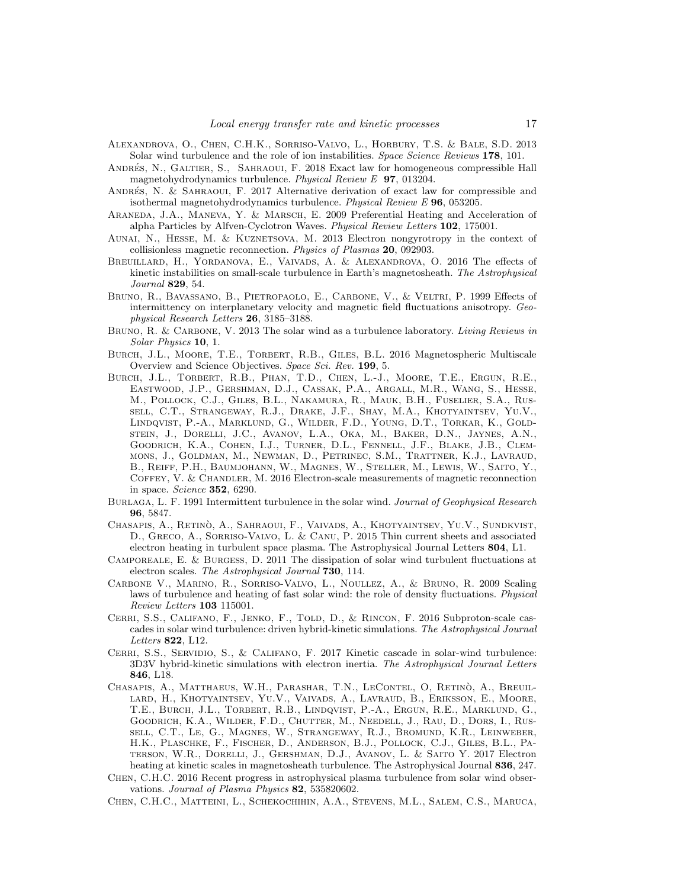- <span id="page-16-1"></span>Alexandrova, O., Chen, C.H.K., Sorriso-Valvo, L., Horbury, T.S. & Bale, S.D. 2013 Solar wind turbulence and the role of ion instabilities. *Space Science Reviews* 178, 101.
- <span id="page-16-14"></span>ANDRÉS, N., GALTIER, S., SAHRAOUI, F. 2018 Exact law for homogeneous compressible Hall magnetohydrodynamics turbulence. *Physical Review E* 97, 013204.
- <span id="page-16-13"></span>ANDRÉS, N. & SAHRAOUI, F. 2017 Alternative derivation of exact law for compressible and isothermal magnetohydrodynamics turbulence. *Physical Review E* 96, 053205.
- <span id="page-16-5"></span>Araneda, J.A., Maneva, Y. & Marsch, E. 2009 Preferential Heating and Acceleration of alpha Particles by Alfven-Cyclotron Waves. *Physical Review Letters* 102, 175001.
- <span id="page-16-15"></span>AUNAI, N., HESSE, M. & KUZNETSOVA, M. 2013 Electron nongyrotropy in the context of collisionless magnetic reconnection. *Physics of Plasmas* 20, 092903.
- <span id="page-16-11"></span>BREUILLARD, H., YORDANOVA, E., VAIVADS, A. & ALEXANDROVA, O. 2016 The effects of kinetic instabilities on small-scale turbulence in Earth's magnetosheath. *The Astrophysical Journal* 829, 54.
- <span id="page-16-7"></span>Bruno, R., Bavassano, B., Pietropaolo, E., Carbone, V., & Veltri, P. 1999 Effects of intermittency on interplanetary velocity and magnetic field fluctuations anisotropy. *Geophysical Research Letters* 26, 3185–3188.
- <span id="page-16-0"></span>Bruno, R. & Carbone, V. 2013 The solar wind as a turbulence laboratory. *Living Reviews in Solar Physics* 10, 1.
- <span id="page-16-16"></span>Burch, J.L., Moore, T.E., Torbert, R.B., Giles, B.L. 2016 Magnetospheric Multiscale Overview and Science Objectives. *Space Sci. Rev.* 199, 5.
- <span id="page-16-10"></span>Burch, J.L., Torbert, R.B., Phan, T.D., Chen, L.-J., Moore, T.E., Ergun, R.E., Eastwood, J.P., Gershman, D.J., Cassak, P.A., Argall, M.R., Wang, S., Hesse, M., Pollock, C.J., Giles, B.L., Nakamura, R., Mauk, B.H., Fuselier, S.A., Russell, C.T., Strangeway, R.J., Drake, J.F., Shay, M.A., Khotyaintsev, Yu.V., Lindqvist, P.-A., Marklund, G., Wilder, F.D., Young, D.T., Torkar, K., Goldstein, J., Dorelli, J.C., Avanov, L.A., Oka, M., Baker, D.N., Jaynes, A.N., Goodrich, K.A., Cohen, I.J., Turner, D.L., Fennell, J.F., Blake, J.B., Clemmons, J., Goldman, M., Newman, D., Petrinec, S.M., Trattner, K.J., Lavraud, B., Reiff, P.H., Baumjohann, W., Magnes, W., Steller, M., Lewis, W., Saito, Y., COFFEY, V. & CHANDLER, M. 2016 Electron-scale measurements of magnetic reconnection in space. *Science* 352, 6290.
- <span id="page-16-6"></span>Burlaga, L. F. 1991 Intermittent turbulence in the solar wind. *Journal of Geophysical Research* 96, 5847.
- <span id="page-16-8"></span>CHASAPIS, A., RETINÒ, A., SAHRAOUI, F., VAIVADS, A., KHOTYAINTSEV, YU.V., SUNDKVIST, D., Greco, A., Sorriso-Valvo, L. & Canu, P. 2015 Thin current sheets and associated electron heating in turbulent space plasma. The Astrophysical Journal Letters 804, L1.
- <span id="page-16-2"></span>Camporeale, E. & Burgess, D. 2011 The dissipation of solar wind turbulent fluctuations at electron scales. *The Astrophysical Journal* 730, 114.
- <span id="page-16-17"></span>Carbone V., Marino, R., Sorriso-Valvo, L., Noullez, A., & Bruno, R. 2009 Scaling laws of turbulence and heating of fast solar wind: the role of density fluctuations. *Physical Review Letters* 103 115001.
- <span id="page-16-3"></span>CERRI, S.S., CALIFANO, F., JENKO, F., TOLD, D., & RINCON, F. 2016 Subproton-scale cascades in solar wind turbulence: driven hybrid-kinetic simulations. *The Astrophysical Journal Letters* 822, L12.
- <span id="page-16-4"></span>Cerri, S.S., Servidio, S., & Califano, F. 2017 Kinetic cascade in solar-wind turbulence: 3D3V hybrid-kinetic simulations with electron inertia. *The Astrophysical Journal Letters* 846, L18.
- <span id="page-16-9"></span>CHASAPIS, A., MATTHAEUS, W.H., PARASHAR, T.N., LECONTEL, O, RETINÒ, A., BREUILlard, H., Khotyaintsev, Yu.V., Vaivads, A., Lavraud, B., Eriksson, E., Moore, T.E., Burch, J.L., Torbert, R.B., Lindqvist, P.-A., Ergun, R.E., Marklund, G., Goodrich, K.A., Wilder, F.D., Chutter, M., Needell, J., Rau, D., Dors, I., Russell, C.T., Le, G., Magnes, W., Strangeway, R.J., Bromund, K.R., Leinweber, H.K., Plaschke, F., Fischer, D., Anderson, B.J., Pollock, C.J., Giles, B.L., Paterson, W.R., Dorelli, J., Gershman, D.J., Avanov, L. & Saito Y. 2017 Electron heating at kinetic scales in magnetosheath turbulence. The Astrophysical Journal 836, 247.
- <span id="page-16-12"></span>Chen, C.H.C. 2016 Recent progress in astrophysical plasma turbulence from solar wind observations. *Journal of Plasma Physics* 82, 535820602.

Chen, C.H.C., Matteini, L., Schekochihin, A.A., Stevens, M.L., Salem, C.S., Maruca,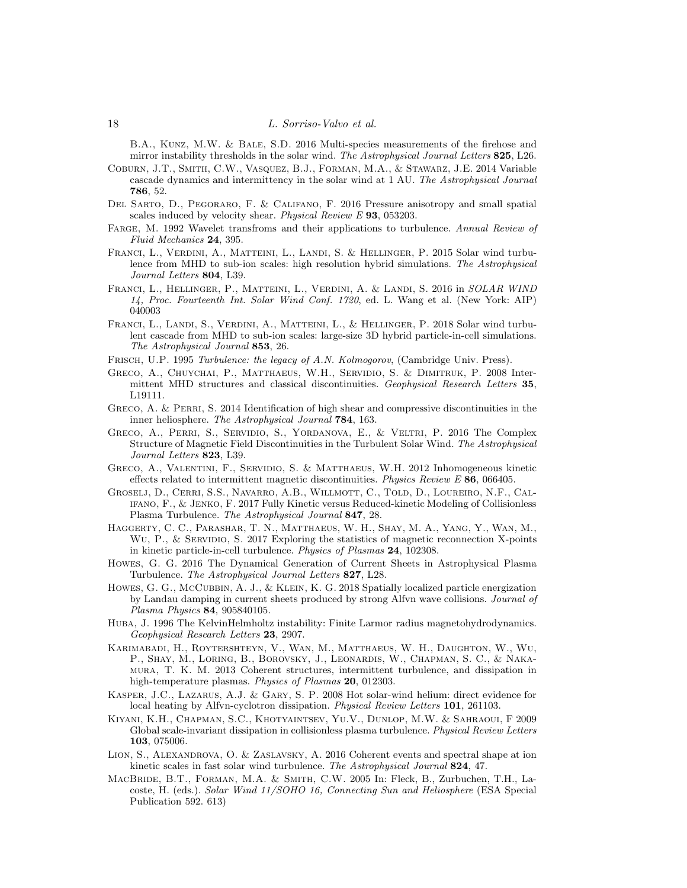B.A., Kunz, M.W. & Bale, S.D. 2016 Multi-species measurements of the firehose and mirror instability thresholds in the solar wind. *The Astrophysical Journal Letters* 825, L26.

<span id="page-17-19"></span>Coburn, J.T., Smith, C.W., Vasquez, B.J., Forman, M.A., & Stawarz, J.E. 2014 Variable cascade dynamics and intermittency in the solar wind at 1 AU. *The Astrophysical Journal* 786, 52.

- <span id="page-17-16"></span>Del Sarto, D., Pegoraro, F. & Califano, F. 2016 Pressure anisotropy and small spatial scales induced by velocity shear. *Physical Review E* 93, 053203.
- <span id="page-17-10"></span>Farge, M. 1992 Wavelet transfroms and their applications to turbulence. *Annual Review of Fluid Mechanics* 24, 395.
- <span id="page-17-0"></span>FRANCI, L., VERDINI, A., MATTEINI, L., LANDI, S. & HELLINGER, P. 2015 Solar wind turbulence from MHD to sub-ion scales: high resolution hybrid simulations. *The Astrophysical Journal Letters* 804, L39.
- <span id="page-17-15"></span>Franci, L., Hellinger, P., Matteini, L., Verdini, A. & Landi, S. 2016 in *SOLAR WIND 14, Proc. Fourteenth Int. Solar Wind Conf. 1720*, ed. L. Wang et al. (New York: AIP) 040003
- <span id="page-17-2"></span>Franci, L., Landi, S., Verdini, A., Matteini, L., & Hellinger, P. 2018 Solar wind turbulent cascade from MHD to sub-ion scales: large-size 3D hybrid particle-in-cell simulations. *The Astrophysical Journal* 853, 26.
- <span id="page-17-6"></span>Frisch, U.P. 1995 *Turbulence: the legacy of A.N. Kolmogorov*, (Cambridge Univ. Press).
- <span id="page-17-11"></span>Greco, A., Chuychai, P., Matthaeus, W.H., Servidio, S. & Dimitruk, P. 2008 Intermittent MHD structures and classical discontinuities. *Geophysical Research Letters* 35, L19111.
- <span id="page-17-7"></span>GRECO, A. & PERRI, S. 2014 Identification of high shear and compressive discontinuities in the inner heliosphere. *The Astrophysical Journal* 784, 163.
- <span id="page-17-18"></span>Greco, A., Perri, S., Servidio, S., Yordanova, E., & Veltri, P. 2016 The Complex Structure of Magnetic Field Discontinuities in the Turbulent Solar Wind. *The Astrophysical Journal Letters* 823, L39.
- <span id="page-17-3"></span>Greco, A., Valentini, F., Servidio, S. & Matthaeus, W.H. 2012 Inhomogeneous kinetic effects related to intermittent magnetic discontinuities. *Physics Review E* 86, 066405.
- <span id="page-17-1"></span>Groselj, D., Cerri, S.S., Navarro, A.B., Willmott, C., Told, D., Loureiro, N.F., Califano, F., & Jenko, F. 2017 Fully Kinetic versus Reduced-kinetic Modeling of Collisionless Plasma Turbulence. *The Astrophysical Journal* 847, 28.
- <span id="page-17-4"></span>Haggerty, C. C., Parashar, T. N., Matthaeus, W. H., Shay, M. A., Yang, Y., Wan, M., WU, P., & SERVIDIO, S. 2017 Exploring the statistics of magnetic reconnection X-points in kinetic particle-in-cell turbulence. *Physics of Plasmas* 24, 102308.
- <span id="page-17-12"></span>Howes, G. G. 2016 The Dynamical Generation of Current Sheets in Astrophysical Plasma Turbulence. *The Astrophysical Journal Letters* 827, L28.
- <span id="page-17-13"></span>HOWES, G. G., MCCUBBIN, A. J., & KLEIN, K. G. 2018 Spatially localized particle energization by Landau damping in current sheets produced by strong Alfvn wave collisions. *Journal of Plasma Physics* 84, 905840105.
- <span id="page-17-17"></span>Huba, J. 1996 The KelvinHelmholtz instability: Finite Larmor radius magnetohydrodynamics. *Geophysical Research Letters* 23, 2907.
- <span id="page-17-20"></span>Karimabadi, H., Roytershteyn, V., Wan, M., Matthaeus, W. H., Daughton, W., Wu, P., Shay, M., Loring, B., Borovsky, J., Leonardis, W., Chapman, S. C., & Nakamura, T. K. M. 2013 Coherent structures, intermittent turbulence, and dissipation in high-temperature plasmas. *Physics of Plasmas* 20, 012303.
- <span id="page-17-5"></span>Kasper, J.C., Lazarus, A.J. & Gary, S. P. 2008 Hot solar-wind helium: direct evidence for local heating by Alfvn-cyclotron dissipation. *Physical Review Letters* 101, 261103.
- <span id="page-17-9"></span>Kiyani, K.H., Chapman, S.C., Khotyaintsev, Yu.V., Dunlop, M.W. & Sahraoui, F 2009 Global scale-invariant dissipation in collisionless plasma turbulence. *Physical Review Letters* 103, 075006.
- <span id="page-17-8"></span>LION, S., ALEXANDROVA, O. & ZASLAVSKY, A. 2016 Coherent events and spectral shape at ion kinetic scales in fast solar wind turbulence. *The Astrophysical Journal* 824, 47.
- <span id="page-17-14"></span>MacBride, B.T., Forman, M.A. & Smith, C.W. 2005 In: Fleck, B., Zurbuchen, T.H., Lacoste, H. (eds.). *Solar Wind 11/SOHO 16, Connecting Sun and Heliosphere* (ESA Special Publication 592. 613)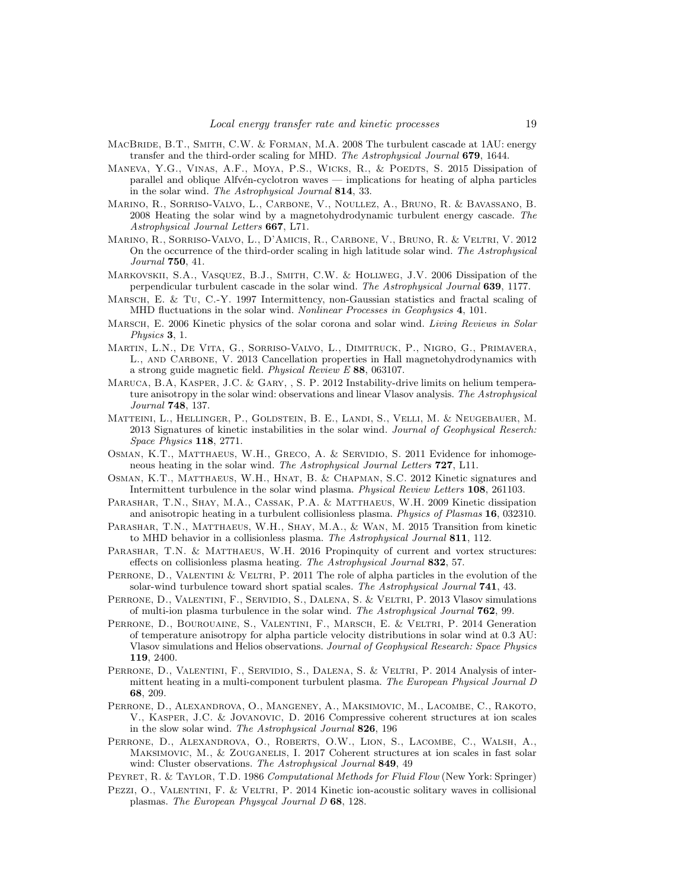- <span id="page-18-14"></span>MACBRIDE, B.T., SMITH, C.W. & FORMAN, M.A. 2008 The turbulent cascade at 1AU: energy transfer and the third-order scaling for MHD. *The Astrophysical Journal* 679, 1644.
- <span id="page-18-7"></span>Maneva, Y.G., Vinas, A.F., Moya, P.S., Wicks, R., & Poedts, S. 2015 Dissipation of parallel and oblique Alfvén-cyclotron waves — implications for heating of alpha particles in the solar wind. *The Astrophysical Journal* 814, 33.
- <span id="page-18-13"></span>Marino, R., Sorriso-Valvo, L., Carbone, V., Noullez, A., Bruno, R. & Bavassano, B. 2008 Heating the solar wind by a magnetohydrodynamic turbulent energy cascade. *The Astrophysical Journal Letters* 667, L71.
- <span id="page-18-15"></span>Marino, R., Sorriso-Valvo, L., D'Amicis, R., Carbone, V., Bruno, R. & Veltri, V. 2012 On the occurrence of the third-order scaling in high latitude solar wind. *The Astrophysical Journal* 750, 41.
- <span id="page-18-18"></span>Markovskii, S.A., Vasquez, B.J., Smith, C.W. & Hollweg, J.V. 2006 Dissipation of the perpendicular turbulent cascade in the solar wind. *The Astrophysical Journal* 639, 1177.
- <span id="page-18-16"></span>Marsch, E. & Tu, C.-Y. 1997 Intermittency, non-Gaussian statistics and fractal scaling of MHD fluctuations in the solar wind. *Nonlinear Processes in Geophysics* 4, 101.
- <span id="page-18-0"></span>Marsch, E. 2006 Kinetic physics of the solar corona and solar wind. *Living Reviews in Solar Physics* 3, 1.
- <span id="page-18-20"></span>Martin, L.N., De Vita, G., Sorriso-Valvo, L., Dimitruck, P., Nigro, G., Primavera, L., AND CARBONE, V. 2013 Cancellation properties in Hall magnetohydrodynamics with a strong guide magnetic field. *Physical Review E* 88, 063107.
- <span id="page-18-22"></span>Maruca, B.A, Kasper, J.C. & Gary, , S. P. 2012 Instability-drive limits on helium temperature anisotropy in the solar wind: observations and linear Vlasov analysis. *The Astrophysical Journal* 748, 137.
- <span id="page-18-12"></span>Matteini, L., Hellinger, P., Goldstein, B. E., Landi, S., Velli, M. & Neugebauer, M. 2013 Signatures of kinetic instabilities in the solar wind. *Journal of Geophysical Reserch: Space Physics* 118, 2771.
- <span id="page-18-10"></span>OSMAN, K.T., MATTHAEUS, W.H., GRECO, A. & SERVIDIO, S. 2011 Evidence for inhomogeneous heating in the solar wind. *The Astrophysical Journal Letters* 727, L11.
- <span id="page-18-11"></span>Osman, K.T., Matthaeus, W.H., Hnat, B. & Chapman, S.C. 2012 Kinetic signatures and Intermittent turbulence in the solar wind plasma. *Physical Review Letters* 108, 261103.
- <span id="page-18-2"></span>Parashar, T.N., Shay, M.A., Cassak, P.A. & Matthaeus, W.H. 2009 Kinetic dissipation and anisotropic heating in a turbulent collisionless plasma. *Physics of Plasmas* 16, 032310.
- <span id="page-18-21"></span>PARASHAR, T.N., MATTHAEUS, W.H., SHAY, M.A., & WAN, M. 2015 Transition from kinetic to MHD behavior in a collisionless plasma. *The Astrophysical Journal* 811, 112.
- <span id="page-18-19"></span>PARASHAR, T.N. & MATTHAEUS, W.H. 2016 Propinquity of current and vortex structures: effects on collisionless plasma heating. *The Astrophysical Journal* 832, 57.
- <span id="page-18-3"></span>PERRONE, D., VALENTINI & VELTRI, P. 2011 The role of alpha particles in the evolution of the solar-wind turbulence toward short spatial scales. *The Astrophysical Journal* 741, 43.
- <span id="page-18-4"></span>PERRONE, D., VALENTINI, F., SERVIDIO, S., DALENA, S. & VELTRI, P. 2013 Vlasov simulations of multi-ion plasma turbulence in the solar wind. *The Astrophysical Journal* 762, 99.
- <span id="page-18-5"></span>PERRONE, D., BOUROUAINE, S., VALENTINI, F., MARSCH, E. & VELTRI, P. 2014 Generation of temperature anisotropy for alpha particle velocity distributions in solar wind at 0.3 AU: Vlasov simulations and Helios observations. *Journal of Geophysical Research: Space Physics* 119, 2400.
- <span id="page-18-6"></span>PERRONE, D., VALENTINI, F., SERVIDIO, S., DALENA, S. & VELTRI, P. 2014 Analysis of intermittent heating in a multi-component turbulent plasma. *The European Physical Journal D* 68, 209.
- <span id="page-18-8"></span>Perrone, D., Alexandrova, O., Mangeney, A., Maksimovic, M., Lacombe, C., Rakoto, V., Kasper, J.C. & Jovanovic, D. 2016 Compressive coherent structures at ion scales in the slow solar wind. *The Astrophysical Journal* 826, 196
- <span id="page-18-9"></span>Perrone, D., Alexandrova, O., Roberts, O.W., Lion, S., Lacombe, C., Walsh, A., Maksimovic, M., & Zouganelis, I. 2017 Coherent structures at ion scales in fast solar wind: Cluster observations. *The Astrophysical Journal* 849, 49
- <span id="page-18-17"></span>Peyret, R. & Taylor, T.D. 1986 *Computational Methods for Fluid Flow* (New York: Springer)
- <span id="page-18-1"></span>PEZZI, O., VALENTINI, F. & VELTRI, P. 2014 Kinetic ion-acoustic solitary waves in collisional plasmas. *The European Physycal Journal D* 68, 128.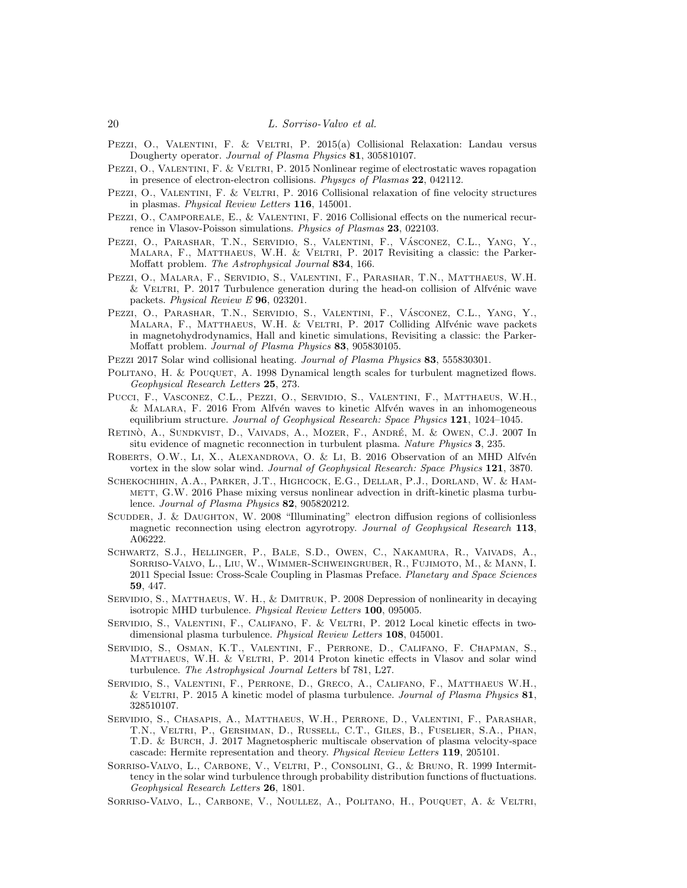- <span id="page-19-3"></span>PEZZI, O., VALENTINI, F. & VELTRI, P. 2015(a) Collisional Relaxation: Landau versus Dougherty operator. *Journal of Plasma Physics* 81, 305810107.
- <span id="page-19-4"></span>PEZZI, O., VALENTINI, F. & VELTRI, P. 2015 Nonlinear regime of electrostatic waves ropagation in presence of electron-electron collisions. *Physycs of Plasmas* 22, 042112.
- <span id="page-19-5"></span>PEZZI, O., VALENTINI, F. & VELTRI, P. 2016 Collisional relaxation of fine velocity structures in plasmas. *Physical Review Letters* 116, 145001.
- <span id="page-19-6"></span>PEZZI, O., CAMPOREALE, E., & VALENTINI, F. 2016 Collisional effects on the numerical recurrence in Vlasov-Poisson simulations. *Physics of Plasmas* 23, 022103.
- <span id="page-19-11"></span>Pezzi, O., Parashar, T.N., Servidio, S., Valentini, F., Vásconez, C.L., Yang, Y., MALARA, F., MATTHAEUS, W.H. & VELTRI, P. 2017 Revisiting a classic: the Parker-Moffatt problem. *The Astrophysical Journal* 834, 166.
- <span id="page-19-12"></span>Pezzi, O., Malara, F., Servidio, S., Valentini, F., Parashar, T.N., Matthaeus, W.H.  $&$  VELTRI, P. 2017 Turbulence generation during the head-on collision of Alfvénic wave packets. *Physical Review E* 96, 023201.
- <span id="page-19-19"></span>Pezzi, O., Parashar, T.N., Servidio, S., Valentini, F., Vásconez, C.L., Yang, Y., MALARA, F., MATTHAEUS, W.H. & VELTRI, P. 2017 Colliding Alfvénic wave packets in magnetohydrodynamics, Hall and kinetic simulations, Revisiting a classic: the Parker-Moffatt problem. *Journal of Plasma Physics* 83, 905830105.
- <span id="page-19-7"></span>Pezzi 2017 Solar wind collisional heating. *Journal of Plasma Physics* 83, 555830301.
- <span id="page-19-16"></span>POLITANO, H. & POUQUET, A. 1998 Dynamical length scales for turbulent magnetized flows. *Geophysical Research Letters* 25, 273.
- <span id="page-19-18"></span>Pucci, F., Vasconez, C.L., Pezzi, O., Servidio, S., Valentini, F., Matthaeus, W.H.,  $&$  Malara, F. 2016 From Alfvén waves to kinetic Alfvén waves in an inhomogeneous equilibrium structure. *Journal of Geophysical Research: Space Physics* 121, 1024–1045.
- <span id="page-19-15"></span>RETINO, A., SUNDKVIST, D., VAIVADS, A., MOZER, F., ANDRÉ, M. & OWEN, C.J. 2007 In situ evidence of magnetic reconnection in turbulent plasma. *Nature Physics* 3, 235.
- <span id="page-19-14"></span>ROBERTS, O.W., LI, X., ALEXANDROVA, O. & LI, B. 2016 Observation of an MHD Alfvén vortex in the slow solar wind. *Journal of Geophysical Research: Space Physics* 121, 3870.
- <span id="page-19-1"></span>Schekochihin, A.A., Parker, J.T., Highcock, E.G., Dellar, P.J., Dorland, W. & Ham-METT, G.W. 2016 Phase mixing versus nonlinear advection in drift-kinetic plasma turbulence. *Journal of Plasma Physics* 82, 905820212.
- <span id="page-19-20"></span>SCUDDER, J. & DAUGHTON, W. 2008 "Illuminating" electron diffusion regions of collisionless magnetic reconnection using electron agyrotropy. *Journal of Geophysical Research* 113, A06222.
- <span id="page-19-0"></span>Schwartz, S.J., Hellinger, P., Bale, S.D., Owen, C., Nakamura, R., Vaivads, A., Sorriso-Valvo, L., Liu, W., Wimmer-Schweingruber, R., Fujimoto, M., & Mann, I. 2011 Special Issue: Cross-Scale Coupling in Plasmas Preface. *Planetary and Space Sciences* 59, 447.
- <span id="page-19-21"></span>SERVIDIO, S., MATTHAEUS, W. H., & DMITRUK, P. 2008 Depression of nonlinearity in decaying isotropic MHD turbulence. *Physical Review Letters* 100, 095005.
- <span id="page-19-9"></span>Servidio, S., Valentini, F., Califano, F. & Veltri, P. 2012 Local kinetic effects in twodimensional plasma turbulence. *Physical Review Letters* 108, 045001.
- <span id="page-19-10"></span>Servidio, S., Osman, K.T., Valentini, F., Perrone, D., Califano, F. Chapman, S., MATTHAEUS, W.H. & VELTRI, P. 2014 Proton kinetic effects in Vlasov and solar wind turbulence. *The Astrophysical Journal Letters* bf 781, L27.
- <span id="page-19-8"></span>Servidio, S., Valentini, F., Perrone, D., Greco, A., Califano, F., Matthaeus W.H., & Veltri, P. 2015 A kinetic model of plasma turbulence. *Journal of Plasma Physics* 81, 328510107.
- <span id="page-19-2"></span>Servidio, S., Chasapis, A., Matthaeus, W.H., Perrone, D., Valentini, F., Parashar, T.N., Veltri, P., Gershman, D., Russell, C.T., Giles, B., Fuselier, S.A., Phan, T.D. & Burch, J. 2017 Magnetospheric multiscale observation of plasma velocity-space cascade: Hermite representation and theory. *Physical Review Letters* 119, 205101.
- <span id="page-19-13"></span>Sorriso-Valvo, L., Carbone, V., Veltri, P., Consolini, G., & Bruno, R. 1999 Intermittency in the solar wind turbulence through probability distribution functions of fluctuations. *Geophysical Research Letters* 26, 1801.
- <span id="page-19-17"></span>Sorriso-Valvo, L., Carbone, V., Noullez, A., Politano, H., Pouquet, A. & Veltri,